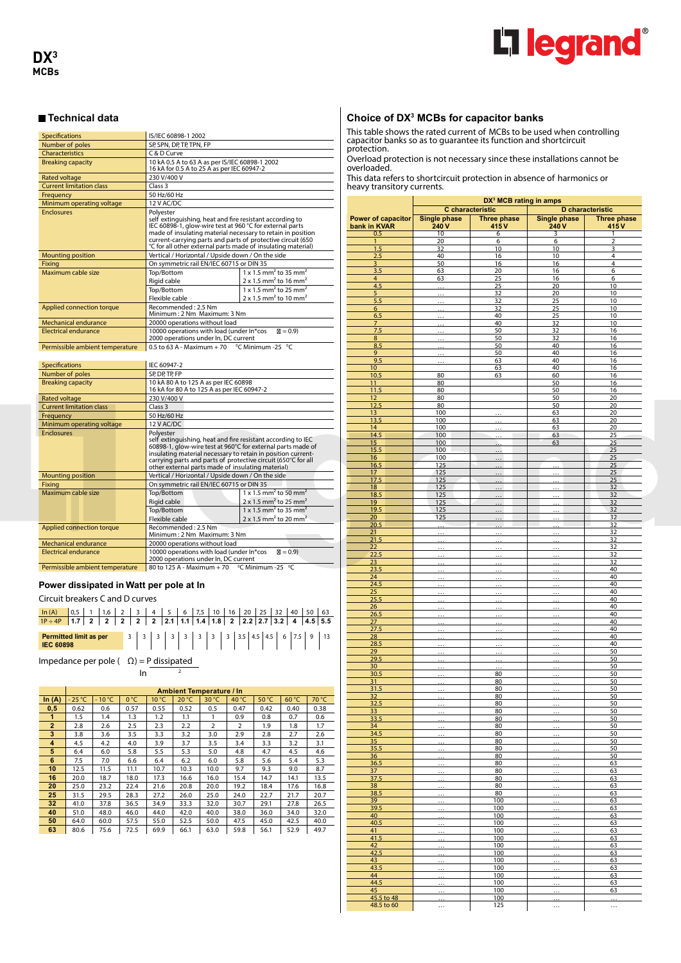

| Specifications                  | IS/IEC 60898-1 2002                                                                                                                                                                                                                                                                                                             |                                                      |  |  |  |  |  |  |
|---------------------------------|---------------------------------------------------------------------------------------------------------------------------------------------------------------------------------------------------------------------------------------------------------------------------------------------------------------------------------|------------------------------------------------------|--|--|--|--|--|--|
| Number of poles                 | SP, SPN, DP, TP, TPN, FP                                                                                                                                                                                                                                                                                                        |                                                      |  |  |  |  |  |  |
| Characteristics                 | C & D Curve                                                                                                                                                                                                                                                                                                                     |                                                      |  |  |  |  |  |  |
| <b>Breaking capacity</b>        | 10 kA 0.5 A to 63 A as per IS/IEC 60898-1 2002<br>16 kA for 0.5 A to 25 A as per IEC 60947-2                                                                                                                                                                                                                                    |                                                      |  |  |  |  |  |  |
| <b>Rated voltage</b>            | 230 V/400 V                                                                                                                                                                                                                                                                                                                     |                                                      |  |  |  |  |  |  |
| <b>Current limitation class</b> | Class <sub>3</sub>                                                                                                                                                                                                                                                                                                              |                                                      |  |  |  |  |  |  |
| Frequency                       | 50 Hz/60 Hz                                                                                                                                                                                                                                                                                                                     |                                                      |  |  |  |  |  |  |
| Minimum operating voltage       | 12 V AC/DC                                                                                                                                                                                                                                                                                                                      |                                                      |  |  |  |  |  |  |
| <b>Enclosures</b>               | Polvester<br>self extinguishing, heat and fire resistant according to<br>IEC 60898-1, glow-wire test at 960 °C for external parts<br>made of insulating material necessary to retain in position<br>current-carrying parts and parts of protective circuit (650<br>°C for all other external parts made of insulating material) |                                                      |  |  |  |  |  |  |
| <b>Mounting position</b>        | Vertical / Horizontal / Upside down / On the side                                                                                                                                                                                                                                                                               |                                                      |  |  |  |  |  |  |
| Fixing                          | On symmetric rail EN/IEC 60715 or DIN 35                                                                                                                                                                                                                                                                                        |                                                      |  |  |  |  |  |  |
| Maximum cable size              | Top/Bottom                                                                                                                                                                                                                                                                                                                      | $1 \times 1.5$ mm <sup>2</sup> to 35 mm <sup>2</sup> |  |  |  |  |  |  |
|                                 | Rigid cable                                                                                                                                                                                                                                                                                                                     | $2 \times 1.5$ mm <sup>2</sup> to 16 mm <sup>2</sup> |  |  |  |  |  |  |
|                                 | Top/Bottom                                                                                                                                                                                                                                                                                                                      | $1 \times 1.5$ mm <sup>2</sup> to 25 mm <sup>2</sup> |  |  |  |  |  |  |
|                                 | Flexible cable                                                                                                                                                                                                                                                                                                                  | $2 \times 1.5$ mm <sup>2</sup> to 10 mm <sup>2</sup> |  |  |  |  |  |  |
| Applied connection torque       | Recommended: 2.5 Nm<br>Minimum: 2 Nm Maximum: 3 Nm                                                                                                                                                                                                                                                                              |                                                      |  |  |  |  |  |  |
| Mechanical endurance            | 20000 operations without load                                                                                                                                                                                                                                                                                                   |                                                      |  |  |  |  |  |  |
| <b>Electrical endurance</b>     | 10000 operations with load (under In*cos<br>2000 operations under In, DC current                                                                                                                                                                                                                                                | $\mathbb{Z} = 0.9$                                   |  |  |  |  |  |  |
| Permissible ambient temperature | 0.5 to 63 A - Maximum + 70 $\degree$ C Minimum -25 $\degree$ C                                                                                                                                                                                                                                                                  |                                                      |  |  |  |  |  |  |

| <b>Specifications</b>           | IEC 60947-2                                                                                                                                                                                                                                                                                                                   |                                                                                                                                                                                                                              |  |  |  |  |  |  |
|---------------------------------|-------------------------------------------------------------------------------------------------------------------------------------------------------------------------------------------------------------------------------------------------------------------------------------------------------------------------------|------------------------------------------------------------------------------------------------------------------------------------------------------------------------------------------------------------------------------|--|--|--|--|--|--|
| Number of poles                 | SP, DP, TP, FP                                                                                                                                                                                                                                                                                                                |                                                                                                                                                                                                                              |  |  |  |  |  |  |
| <b>Breaking capacity</b>        | 10 kA 80 A to 125 A as per IEC 60898<br>16 kA for 80 A to 125 A as per IEC 60947-2                                                                                                                                                                                                                                            |                                                                                                                                                                                                                              |  |  |  |  |  |  |
| <b>Rated voltage</b>            | 230 V/400 V                                                                                                                                                                                                                                                                                                                   |                                                                                                                                                                                                                              |  |  |  |  |  |  |
| <b>Current limitation class</b> | Class <sub>3</sub>                                                                                                                                                                                                                                                                                                            |                                                                                                                                                                                                                              |  |  |  |  |  |  |
| Frequency                       | 50 Hz/60 Hz                                                                                                                                                                                                                                                                                                                   |                                                                                                                                                                                                                              |  |  |  |  |  |  |
| Minimum operating voltage       | 12 V AC/DC                                                                                                                                                                                                                                                                                                                    |                                                                                                                                                                                                                              |  |  |  |  |  |  |
| <b>Enclosures</b>               | Polyester<br>self extinguishing, heat and fire resistant according to IEC<br>60898-1, glow-wire test at 960°C for external parts made of<br>insulating material necessary to retain in position current-<br>carrying parts and parts of protective circuit (650℃ for all<br>other external parts made of insulating material) |                                                                                                                                                                                                                              |  |  |  |  |  |  |
| <b>Mounting position</b>        | Vertical / Horizontal / Upside down / On the side                                                                                                                                                                                                                                                                             |                                                                                                                                                                                                                              |  |  |  |  |  |  |
| Fixina                          | On symmetric rail EN/IEC 60715 or DIN 35                                                                                                                                                                                                                                                                                      |                                                                                                                                                                                                                              |  |  |  |  |  |  |
| Maximum cable size              | Top/Bottom<br>Rigid cable<br>Top/Bottom<br>Flexible cable                                                                                                                                                                                                                                                                     | $1 \times 1.5$ mm <sup>2</sup> to 50 mm <sup>2</sup><br>$2 \times 1.5$ mm <sup>2</sup> to 25 mm <sup>2</sup><br>$1 \times 1.5$ mm <sup>2</sup> to 35 mm <sup>2</sup><br>$2 \times 1.5$ mm <sup>2</sup> to 20 mm <sup>2</sup> |  |  |  |  |  |  |
| Applied connection torque       | Recommended: 2.5 Nm<br>Minimum: 2 Nm Maximum: 3 Nm                                                                                                                                                                                                                                                                            |                                                                                                                                                                                                                              |  |  |  |  |  |  |
| <b>Mechanical endurance</b>     | 20000 operations without load                                                                                                                                                                                                                                                                                                 |                                                                                                                                                                                                                              |  |  |  |  |  |  |
| Electrical endurance            | 10000 operations with load (under In*cos<br>$\mathbb{Z} = 0.9$<br>2000 operations under In, DC current                                                                                                                                                                                                                        |                                                                                                                                                                                                                              |  |  |  |  |  |  |
| Permissible ambient temperature | 80 to 125 A - Maximum + 70 °C Minimum -25 °C                                                                                                                                                                                                                                                                                  |                                                                                                                                                                                                                              |  |  |  |  |  |  |

### **Power dissipated in Watt per pole at In**

Circuit breakers C and D curves

**Permitted limits and <b>Permitted limits** and **per** 3 3 3 3 3 4.5 4.5 **6** 7.5 9 13 **Permitted limit as per IEC 60898**  $\frac{\ln(A)}{1P+4P}$  1.7 2 2 2 2 2 2 1 1.1 1.4 1.8 2 2.2 2.7 3.2 4 5 5.5

Impedance per pole  $( \Omega ) = P$  dissipated

 $\ln \frac{2}{3}$ 

|                |          |                 |      |                | <b>Ambient Temperature / In</b> |                |                |                |       |       |
|----------------|----------|-----------------|------|----------------|---------------------------------|----------------|----------------|----------------|-------|-------|
| In $(A)$       | $-25 °C$ | $-10^{\circ}$ C | 0°C  | $10^{\circ}$ C | 20 °C                           | 30 °C          | $40^{\circ}$ C | $50^{\circ}$ C | 60 °C | 70 °C |
| 0,5            | 0.62     | 0.6             | 0.57 | 0.55           | 0.52                            | 0.5            | 0.47           | 0.42           | 0.40  | 0.38  |
| 1              | 1.5      | 1.4             | 1.3  | 1.2            | 1.1                             | 1              | 0.9            | 0.8            | 0.7   | 0.6   |
| $\overline{2}$ | 2.8      | 2.6             | 2.5  | 2.3            | 2.2                             | $\overline{2}$ | $\overline{2}$ | 1.9            | 1.8   | 1.7   |
| 3              | 3.8      | 3.6             | 3.5  | 3.3            | 3.2                             | 3.0            | 2.9            | 2.8            | 2.7   | 2.6   |
| 4              | 4.5      | 4.2             | 4.0  | 3.9            | 3.7                             | 3.5            | 3.4            | 3.3            | 3.2   | 3.1   |
| 5              | 6.4      | 6.0             | 5.8  | 5.5            | 5.3                             | 5.0            | 4.8            | 4.7            | 4.5   | 4.6   |
| 6              | 7.5      | 7.0             | 6.6  | 6.4            | 6.2                             | 6.0            | 5.8            | 5.6            | 5.4   | 5.3   |
| 10             | 12.5     | 11.5            | 11.1 | 10.7           | 10.3                            | 10.0           | 9.7            | 9.3            | 9.0   | 8.7   |
| 16             | 20.0     | 18.7            | 18.0 | 17.3           | 16.6                            | 16.0           | 15.4           | 14.7           | 14.1  | 13.5  |
| 20             | 25.0     | 23.2            | 22.4 | 21.6           | 20.8                            | 20.0           | 19.2           | 18.4           | 17.6  | 16.8  |
| 25             | 31.5     | 29.5            | 28.3 | 27.2           | 26.0                            | 25.0           | 24.0           | 22.7           | 21.7  | 20.7  |
| 32             | 41.0     | 37.8            | 36.5 | 34.9           | 33.3                            | 32.0           | 30.7           | 29.1           | 27.8  | 26.5  |
| 40             | 51.0     | 48.0            | 46.0 | 44.0           | 42.0                            | 40.0           | 38.0           | 36.0           | 34.0  | 32.0  |
| 50             | 64.0     | 60.0            | 57.5 | 55.0           | 52.5                            | 50.0           | 47.5           | 45.0           | 42.5  | 40.0  |
| 63             | 80.6     | 75.6            | 72.5 | 69.9           | 66.1                            | 63.0           | 59.8           | 56.1           | 52.9  | 49.7  |

#### **Choice of DX3 MCBs for capacitor banks**

This table shows the rated current of MCBs to be used when controlling capacitor banks so as to guarantee its function and shortcircuit protection.

Overload protection is not necessary since these installations cannot be overloaded.

This data refers to shortcircuit protection in absence of harmonics or heavy transitory currents.

|                         | DX <sup>3</sup> MCB rating in amps |                      |                       |                      |  |  |  |  |  |
|-------------------------|------------------------------------|----------------------|-----------------------|----------------------|--|--|--|--|--|
|                         |                                    | C characteristic     |                       | D characteristic     |  |  |  |  |  |
| Power of capacitor      |                                    |                      |                       |                      |  |  |  |  |  |
| bank in KVAR            | Single phase<br>240 V              | Three phase<br>415 V | Single phase<br>240 V | Three phase<br>415 V |  |  |  |  |  |
| 0.5                     | 10                                 | $6 \overline{}$      | 3                     | 1                    |  |  |  |  |  |
| $\mathbf{1}$            | 20                                 | 6                    | 6                     | 2                    |  |  |  |  |  |
| 1.5                     | 32                                 | 10                   | 10                    | 3                    |  |  |  |  |  |
| 2.5                     | 40                                 | 16                   | 10                    | 4                    |  |  |  |  |  |
| $\overline{\mathbf{3}}$ | 50                                 | 16                   | 16                    | 4                    |  |  |  |  |  |
| 3.5<br>4                | 63                                 | 20                   | 16                    | 6                    |  |  |  |  |  |
|                         | 63                                 | 25<br>25             | 16<br>20              | 6<br>10              |  |  |  |  |  |
| 4.5<br>5                |                                    | 32                   | 20                    | 10                   |  |  |  |  |  |
| 5.5                     |                                    | 32                   | 25                    | 10                   |  |  |  |  |  |
| $6 \overline{}$         |                                    | 32                   | 25                    | 10                   |  |  |  |  |  |
| 6.5                     |                                    | 40                   | 25                    | 10                   |  |  |  |  |  |
| $\overline{7}$          |                                    | 40                   | 32                    | 10                   |  |  |  |  |  |
| 7.5                     |                                    | 50                   | 32                    | 16                   |  |  |  |  |  |
| 8                       |                                    | 50                   | 32                    | 16                   |  |  |  |  |  |
| 8.5                     |                                    | 50                   | 40                    | 16                   |  |  |  |  |  |
| 9                       |                                    | 50                   | 40                    | 16                   |  |  |  |  |  |
| 9.5                     |                                    | 63                   | 40<br>40              | 16                   |  |  |  |  |  |
| 10 <sup>°</sup><br>10.5 | 80                                 | 63<br>63             | 60                    | 16<br>16             |  |  |  |  |  |
| 11                      | 80                                 |                      | 50                    | 16                   |  |  |  |  |  |
| 11.5                    | 80                                 |                      | 50                    | 16                   |  |  |  |  |  |
| 12                      | 80                                 |                      | 50                    | 20                   |  |  |  |  |  |
| 12.5                    | 80                                 |                      | 50                    | 20                   |  |  |  |  |  |
| 13 <sup>7</sup>         | 100                                |                      | 63                    | 20                   |  |  |  |  |  |
| 13.5                    | 100                                |                      | 63                    | 20                   |  |  |  |  |  |
| 14                      | 100                                |                      | 63                    | 20                   |  |  |  |  |  |
| 14.5                    | 100                                |                      | 63                    | 25                   |  |  |  |  |  |
| 15                      | 100                                |                      | 63                    | 25                   |  |  |  |  |  |
| 15.5                    | 100                                |                      |                       | 25                   |  |  |  |  |  |
| 16                      | 100                                |                      |                       | 25                   |  |  |  |  |  |
| 16.5<br>17              | 125<br>125                         |                      |                       | 25<br>25             |  |  |  |  |  |
| 17.5                    | 125                                |                      |                       | <u>25</u>            |  |  |  |  |  |
| 18                      | 125                                |                      |                       | 32                   |  |  |  |  |  |
| 18.5                    | 125                                |                      |                       | 32                   |  |  |  |  |  |
| 19                      | 125                                |                      |                       | 32                   |  |  |  |  |  |
| 19.5                    | 125                                |                      |                       | 32                   |  |  |  |  |  |
| 20                      | 125                                |                      |                       | 32                   |  |  |  |  |  |
| 20.5                    |                                    |                      |                       | 32                   |  |  |  |  |  |
| 21                      |                                    |                      |                       | 32                   |  |  |  |  |  |
| 21.5                    |                                    |                      |                       | 32                   |  |  |  |  |  |
| 22                      |                                    |                      |                       | 32                   |  |  |  |  |  |
| 22.5                    |                                    |                      |                       | 32                   |  |  |  |  |  |
| 23                      |                                    |                      |                       | 32                   |  |  |  |  |  |
| <u>23.5</u><br>24       |                                    |                      |                       | 40<br>40             |  |  |  |  |  |
| 24.5                    |                                    |                      |                       | 40                   |  |  |  |  |  |
| 25                      |                                    |                      |                       | 40                   |  |  |  |  |  |
| 25.5                    |                                    |                      |                       | 40                   |  |  |  |  |  |
| 26                      |                                    |                      |                       | 40                   |  |  |  |  |  |
| 26.5                    |                                    |                      |                       | 40                   |  |  |  |  |  |
| 27                      |                                    |                      |                       | 40                   |  |  |  |  |  |
| 27.5                    |                                    |                      |                       | 40                   |  |  |  |  |  |
| 28                      |                                    |                      |                       | 40                   |  |  |  |  |  |
| 28.5                    |                                    |                      |                       | 40                   |  |  |  |  |  |
| 29<br>29.5              |                                    |                      |                       | 50                   |  |  |  |  |  |
| 30                      |                                    |                      |                       | 50<br>50             |  |  |  |  |  |
| 30.5                    |                                    | 80                   |                       | 50                   |  |  |  |  |  |
| 31                      |                                    | 80                   |                       | 50                   |  |  |  |  |  |
| 31.5                    |                                    | 80                   |                       | 50                   |  |  |  |  |  |
| <u>32</u>               |                                    | 80                   |                       | 50                   |  |  |  |  |  |
| 32.5                    |                                    | 80                   |                       | 50                   |  |  |  |  |  |
| 33                      |                                    | 80                   |                       | 50                   |  |  |  |  |  |
| 33.5                    |                                    | 80                   |                       | 50                   |  |  |  |  |  |
| 34                      |                                    | 80                   |                       | 50                   |  |  |  |  |  |
| 34.5                    |                                    | 80                   |                       | 50                   |  |  |  |  |  |
| 35 <sub>2</sub><br>35.5 |                                    | 80<br>80             |                       | 50<br>50             |  |  |  |  |  |
| <u>36</u>               |                                    | 80                   |                       | 50                   |  |  |  |  |  |
| 36.5                    |                                    | 80                   |                       | 63                   |  |  |  |  |  |
| <u>37    </u>           |                                    | 80                   |                       | 63                   |  |  |  |  |  |
| 37.5                    |                                    | 80                   |                       | 63                   |  |  |  |  |  |
| 38                      |                                    | 80                   |                       | 63                   |  |  |  |  |  |
| 38.5                    |                                    | 80                   |                       | 63                   |  |  |  |  |  |
| 39                      |                                    | 100                  |                       | <u>63</u>            |  |  |  |  |  |
| 39.5                    |                                    | 100                  |                       | 63                   |  |  |  |  |  |
| 40                      |                                    | 100                  |                       | 63                   |  |  |  |  |  |
| 40.5                    |                                    | 100                  |                       | 63                   |  |  |  |  |  |
| 41<br>41.5              |                                    | 100<br>100           |                       | 63<br>63             |  |  |  |  |  |
| 42                      |                                    | 100                  |                       | 63                   |  |  |  |  |  |
| 42.5                    |                                    | 100                  |                       | 63                   |  |  |  |  |  |
| 43                      |                                    | 100                  |                       | 63                   |  |  |  |  |  |
| 43.5                    |                                    | 100                  |                       | 63                   |  |  |  |  |  |
| 44                      |                                    | 100                  |                       | 63                   |  |  |  |  |  |
| 44.5                    |                                    | 100                  |                       | 63                   |  |  |  |  |  |
| 45                      |                                    | 100                  |                       | 63                   |  |  |  |  |  |
| 45.5 to 48              |                                    | 100                  |                       | .                    |  |  |  |  |  |
| 48.5 to 60              |                                    | 125                  |                       | .                    |  |  |  |  |  |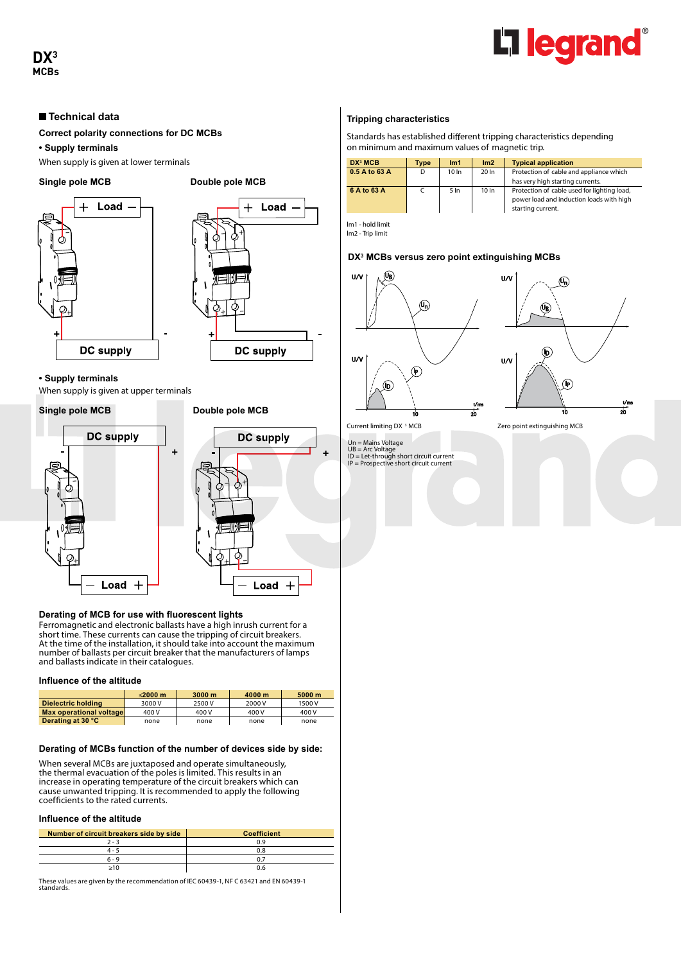

# **DX3 MCBs**

# **Technical data**

**Correct polarity connections for DC MCBs**

**• Supply terminals**

When supply is given at lower terminals

#### Single pole MCB Double pole MCB





# **• Supply terminals**

When supply is given at upper terminals

# **Single pole MCB** Double pole MCB

 $^{+}$ 



# **Derating of MCB for use with fluorescent lights**

Ferromagnetic and electronic ballasts have a high inrush current for a short time. These currents can cause the tripping of circuit breakers. At the time of the installation, it should take into account the maximum number of ballasts per circuit breaker that the manufacturers of lamps and ballasts indicate in their catalogues.

#### **Influence of the altitude**

|                         | $<$ 2000 m | 3000 <sub>m</sub> | 4000 m | 5000 m |
|-------------------------|------------|-------------------|--------|--------|
| Dielectric holding      | 3000 V     | 2500 V            | 2000 V | 1500 V |
| Max operational voltage | 400 V      | 400 V             | 400 V  | 400 V  |
| Derating at 30 °C       | none       | none              | none   | none   |

# **Derating of MCBs function of the number of devices side by side:**

When several MCBs are juxtaposed and operate simultaneously, the thermal evacuation of the poles is limited. This results in an increase in operating temperature of the circuit breakers which can cause unwanted tripping. It is recommended to apply the following coefficients to the rated currents.

# **Influence of the altitude**

| Number of circuit breakers side by side | <b>Coefficient</b> |
|-----------------------------------------|--------------------|
| $2 - 3$                                 | 0.9                |
| $4 - 5$                                 | 0.8                |
| $6 - 9$                                 |                    |
| >10                                     | ).e                |

These values are given by the recommendation of IEC 60439-1, NF C 63421 and EN 60439-1 standards.

# **Tripping characteristics**

Standards has established different tripping characteristics depending on minimum and maximum values of magnetic trip.

| DX <sup>3</sup> MCB | Type | Im <sub>1</sub>  | Im2   | <b>Typical application</b>                                                                                   |
|---------------------|------|------------------|-------|--------------------------------------------------------------------------------------------------------------|
| 0.5 A to 63 A       | D    | 10 <sub>ln</sub> | 20 In | Protection of cable and appliance which<br>has very high starting currents.                                  |
| 6 A to 63 A         |      | 5 <sub>ln</sub>  | 10 In | Protection of cable used for lighting load,<br>power load and induction loads with high<br>starting current. |

lm1 - hold limit lm2 - Trip limit

# **DX3 MCBs versus zero point extinguishing MCBs**





Current limiting DX<sup>3</sup> MCB

Un = Mains Voltage UB = Arc Voltage ID = Let-through short circuit current IP = Prospective short circuit current

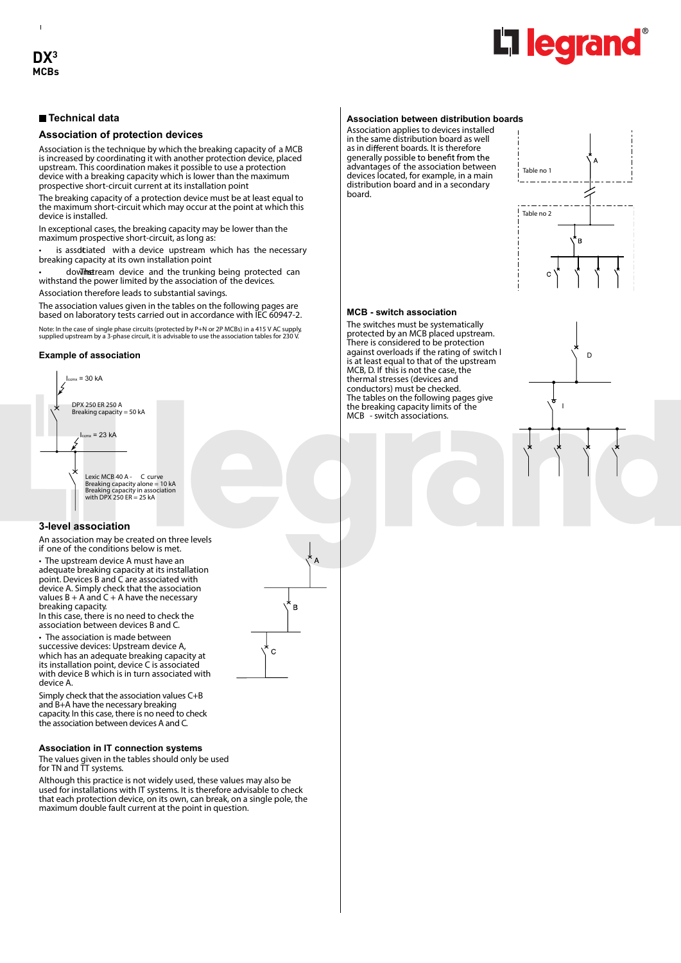$\mathbf{I}$ 



# **Technical data**

#### **Association of protection devices**

Association is the technique by which the breaking capacity of a MCB is increased by coordinating it with another protection device, placed upstream. This coordination makes it possible to use a protection device with a breaking capacity which is lower than the maximum prospective short-circuit current at its installation point

The breaking capacity of a protection device must be at least equal to the maximum short-circuit which may occur at the point at which this device is installed.

In exceptional cases, the breaking capacity may be lower than the maximum prospective short-circuit, as long as:

is assdtiated with a device upstream which has the necessary breaking capacity at its own installation point

dowThe tream device and the trunking being protected can withstand the power limited by the association of the devices.

Association therefore leads to substantial savings.

The association values given in the tables on the following pages are based on laboratory tests carried out in accordance with IEC 60947-2.

Note: In the case of single phase circuits (protected by P+N or 2P MCBs) in a 415 V AC supply, supplied upstream by a 3-phase circuit, it is advisable to use the association tables for 230 V.

#### **Example of association**



#### **3-level association**

An association may be created on three levels if one of the conditions below is met.

• The upstream device A must have an adequate breaking capacity at its installation point. Devices B and C are associated with device A. Simply check that the association values  $B + A$  and  $C + A$  have the necessary breaking capacity.

In this case, there is no need to check the association between devices B and C.

• The association is made between successive devices: Upstream device A, which has an adequate breaking capacity at its installation point, device C is associated with device B which is in turn associated with device A.

Simply check that the association values C+B and B+A have the necessary breaking capacity. In this case, there is no need to check the association between devices A and C.

#### **Association in IT connection systems**

The values given in the tables should only be used for TN and TT systems.

Although this practice is not widely used, these values may also be used for installations with IT systems. It is therefore advisable to check that each protection device, on its own, can break, on a single pole, the maximum double fault current at the point in question.

#### **Association between distribution boards**

Association applies to devices installed in the same distribution board as well as in different boards. It is therefore generally possible to benefit from the advantages of the association between devices located, for example, in a main distribution board and in a secondary board.



#### **MCB - switch association**

The switches must be systematically protected by an MCB placed upstream. There is considered to be protection against overloads if the rating of switch I is at least equal to that of the upstream MCB, D. If this is not the case, the thermal stresses (devices and conductors) must be checked. The tables on the following pages give the breaking capacity limits of the MCB - switch associations.



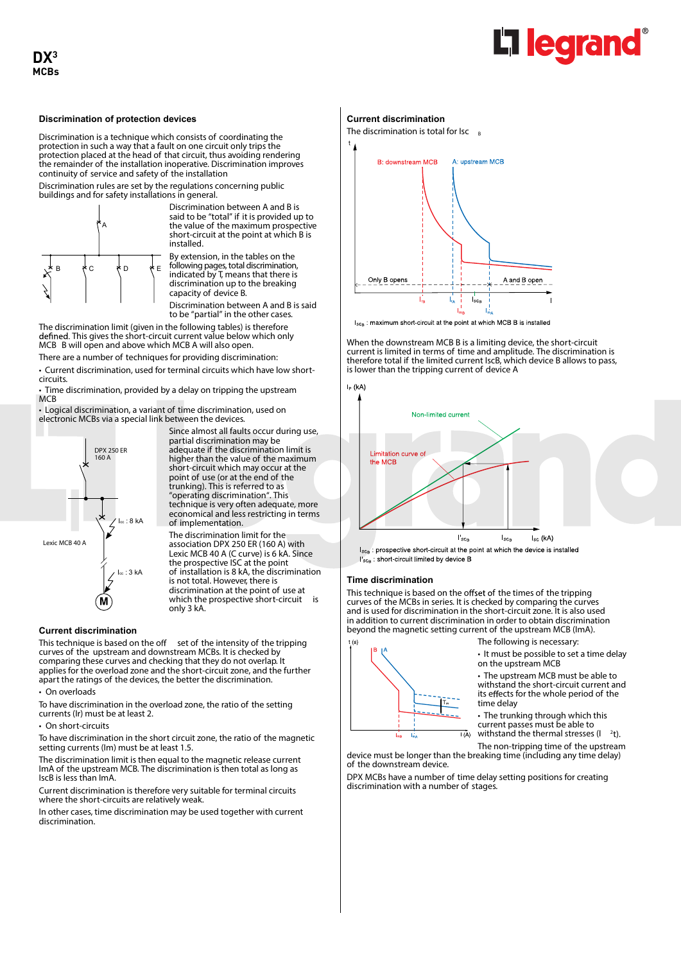

#### **Discrimination of protection devices**

Discrimination is a technique which consists of coordinating the protection in such a way that a fault on one circuit only trips the protection placed at the head of that circuit, thus avoiding rendering the remainder of the installation inoperative. Discrimination improves continuity of service and safety of the installation

Discrimination rules are set by the regulations concerning public buildings and for safety installations in general.



Discrimination between A and B is said to be "total" if it is provided up to the value of the maximum prospective short-circuit at the point at which B is installed.

By extension, in the tables on the following pages, total discrimination, indicated by T, means that there is discrimination up to the breaking capacity of device B.

Discrimination between A and B is said to be "partial" in the other cases.

The discrimination limit (given in the following tables) is therefore defined. This gives the short-circuit current value below which only MCB B will open and above which MCB A will also open.

There are a number of techniques for providing discrimination: • Current discrimination, used for terminal circuits which have low short-

circuits. • Time discrimination, provided by a delay on tripping the upstream

**MCB** 

• Logical discrimination, a variant of time discrimination, used on electronic MCBs via a special link between the devices.



Since almost all faults occur during use, partial discrimination may be adequate if the discrimination limit is higher than the value of the maximum short-circuit which may occur at the point of use (or at the end of the trunking). This is referred to as "operating discrimination". This technique is very often adequate, more economical and less restricting in terms of implementation.

The discrimination limit for the association DPX 250 ER (160 A) with Lexic MCB 40 A (C curve) is 6 kA. Since the prospective ISC at the point of installation is 8 kA, the discrimination is not total. However, there is discrimination at the point of use at which the prospective short-circuit is only 3 kA.

#### **Current discrimination**

This technique is based on the off set of the intensity of the tripping curves of the upstream and downstream MCBs. It is checked by comparing these curves and checking that they do not overlap. It applies for the overload zone and the short-circuit zone, and the further apart the ratings of the devices, the better the discrimination.

• On overloads

To have discrimination in the overload zone, the ratio of the setting currents (Ir) must be at least 2.

• On short-circuits

To have discrimination in the short circuit zone, the ratio of the magnetic setting currents (Im) must be at least 1.5.

The discrimination limit is then equal to the magnetic release current ImA of the upstream MCB. The discrimination is then total as long as IscB is less than ImA.

Current discrimination is therefore very suitable for terminal circuits where the short-circuits are relatively weak.

In other cases, time discrimination may be used together with current discrimination.

#### **Current discrimination**

The discrimination is total for  $\text{Isc}_{B}$ 



I<sub>SCB</sub>: maximum short-circuit at the point at which MCB B is installed

When the downstream MCB B is a limiting device, the short-circuit current is limited in terms of time and amplitude. The discrimination is therefore total if the limited current IscB, which device B allows to pass, is lower than the tripping current of device A



I'<sub>SCB</sub>: short-circuit limited by device B

#### **Time discrimination**

This technique is based on the offset of the times of the tripping curves of the MCBs in series. It is checked by comparing the curves and is used for discrimination in the short-circuit zone. It is also used in addition to current discrimination in order to obtain discrimination beyond the magnetic setting current of the upstream MCB (ImA).



of the downstream device.

The following is necessary:

• It must be possible to set a time delay on the upstream MCB

• The upstream MCB must be able to withstand the short-circuit current and its effects for the whole period of the time delay

• The trunking through which this current passes must be able to withstand the thermal stresses (I  $2<sub>t</sub>$ 

The non-tripping time of the upstream device must be longer than the breaking time (including any time delay)

DPX MCBs have a number of time delay setting positions for creating discrimination with a number of stages

 $\overline{I(A)}$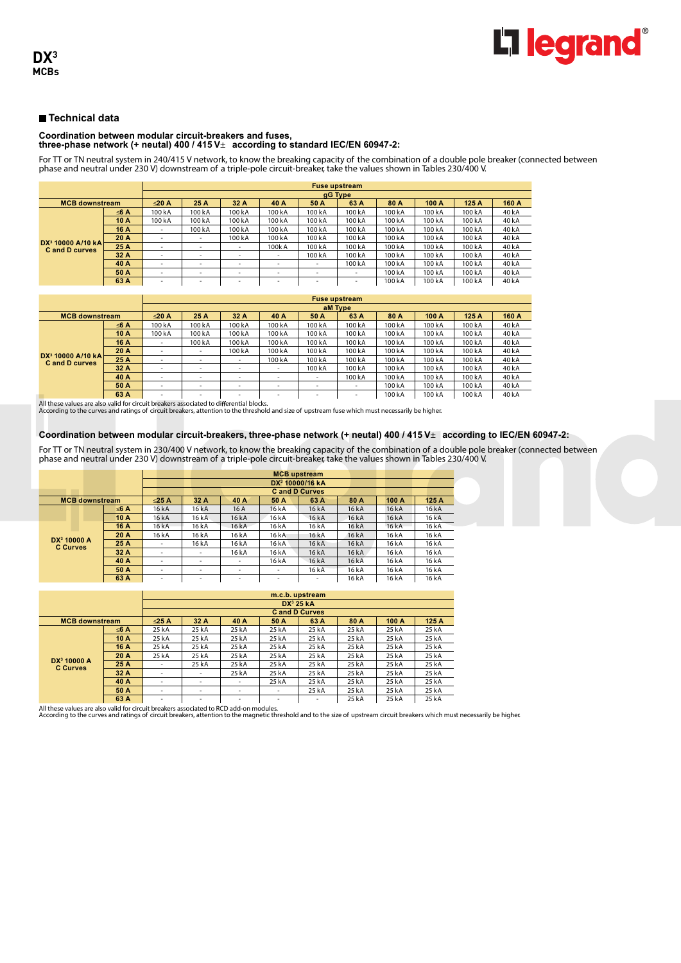# **Coordination between modular circuit-breakers and fuses, three-phase network (+ neutal) 400 / 415 V**± **according to standard IEC/EN 60947-2:**

For TT or TN neutral system in 240/415 V network, to know the breaking capacity of the combination of a double pole breaker (connected between phase and neutral under 230 V) downstream of a triple-pole circuit-breaker, take the values shown in Tables 230/400 V.

|                                              |      | <b>Fuse upstream</b>     |                          |                          |                          |                          |                          |        |        |        |       |  |  |
|----------------------------------------------|------|--------------------------|--------------------------|--------------------------|--------------------------|--------------------------|--------------------------|--------|--------|--------|-------|--|--|
|                                              |      |                          |                          |                          |                          |                          | gG Type                  |        |        |        |       |  |  |
| <b>MCB downstream</b>                        |      | $\leq$ 20 A              | 25 A                     | 32 A                     | 40 A                     | 50 A                     | 63 A                     | 80 A   | 100 A  | 125 A  | 160 A |  |  |
|                                              | ≤6 A | 100kA                    | 100kA                    | 100kA                    | 100 kA                   | 100kA                    | 100 kA                   | 100 kA | 100 kA | 100 kA | 40 kA |  |  |
|                                              | 10 A | 100kA                    | 100 kA                   | 100 kA                   | 100 kA                   | 100 kA                   | 100 kA                   | 100 kA | 100 kA | 100 kA | 40 kA |  |  |
|                                              | 16 A | $\overline{\phantom{a}}$ | 100 kA                   | 100kA                    | 100 kA                   | 100kA                    | 100 kA                   | 100 kA | 100kA  | 100 kA | 40 kA |  |  |
|                                              | 20 A | <b>.</b>                 |                          | 100 kA                   | 100 kA                   | 100 kA                   | 100 kA                   | 100 kA | 100kA  | 100 kA | 40 kA |  |  |
| $DX^3$ 10000 A/10 kA<br><b>Cand D curves</b> | 25 A | <b>1</b>                 | <b>.</b>                 | $\overline{\phantom{a}}$ | 100kA                    | 100 kA                   | 100 kA                   | 100 kA | 100 kA | 100 kA | 40 kA |  |  |
|                                              | 32 A | <b>.</b>                 | <b>.</b>                 | $\overline{\phantom{a}}$ | $\overline{\phantom{a}}$ | 100 kA                   | 100 kA                   | 100 kA | 100 kA | 100 kA | 40 kA |  |  |
|                                              | 40 A | $\overline{\phantom{a}}$ | $\overline{\phantom{a}}$ | $\overline{\phantom{a}}$ | $\overline{\phantom{a}}$ | $\overline{\phantom{a}}$ | 100 kA                   | 100 kA | 100 kA | 100 kA | 40 kA |  |  |
|                                              | 50 A | <b>.</b>                 | <b>.</b>                 | $\sim$                   | $\overline{\phantom{a}}$ | $\overline{\phantom{a}}$ | $\overline{\phantom{a}}$ | 100 kA | 100 kA | 100 kA | 40 kA |  |  |
|                                              | 63 A | <b>.</b>                 | $\overline{\phantom{a}}$ | $\overline{\phantom{a}}$ | $\overline{\phantom{a}}$ | -                        | $\overline{\phantom{0}}$ | 100 kA | 100kA  | 100 kA | 40 kA |  |  |

|                                                       |      | <b>Fuse upstream</b> |                          |                          |                          |                          |                          |         |        |        |       |  |  |
|-------------------------------------------------------|------|----------------------|--------------------------|--------------------------|--------------------------|--------------------------|--------------------------|---------|--------|--------|-------|--|--|
|                                                       |      | aM Type              |                          |                          |                          |                          |                          |         |        |        |       |  |  |
| <b>MCB downstream</b>                                 |      | $\leq$ 20 A          | 25 A                     | 32 A                     | 40 A                     | 50 A                     | 63 A                     | 80 A    | 100 A  | 125 A  | 160 A |  |  |
|                                                       | ≤6 A | 100 kA               | 100 kA                   | 100 kA                   | 100 kA                   | 100 kA                   | 100 kA                   | 100 kA  | 100 kA | 100 kA | 40 kA |  |  |
|                                                       | 10A  | 100 kA               | 100 kA                   | 100 kA                   | 100 kA                   | 100 kA                   | 100 kA                   | 100 k A | 100 kA | 100 kA | 40 kA |  |  |
|                                                       | 16 A | ۰                    | 100 kA                   | 100 kA                   | 100 kA                   | 100 kA                   | 100 kA                   | 100 kA  | 100 kA | 100 kA | 40 kA |  |  |
|                                                       | 20 A |                      |                          | 100 kA                   | 100 kA                   | 100 kA                   | 100 kA                   | 100 kA  | 100 kA | 100 kA | 40 kA |  |  |
| DX <sup>3</sup> 10000 A/10 kA<br><b>Cand D curves</b> | 25 A | ٠                    | <b>.</b>                 | $\overline{\phantom{a}}$ | 100 kA                   | 100 kA                   | 100 kA                   | 100 kA  | 100 kA | 100 kA | 40 kA |  |  |
|                                                       | 32 A | ٠                    | $\overline{\phantom{a}}$ | $\overline{\phantom{a}}$ | $\overline{\phantom{a}}$ | 100 kA                   | 100 kA                   | 100 kA  | 100 kA | 100 kA | 40 kA |  |  |
|                                                       | 40 A | ۰                    | $\overline{\phantom{a}}$ | $\overline{\phantom{a}}$ | $\overline{\phantom{a}}$ | $\overline{\phantom{a}}$ | 100 kA                   | 100 kA  | 100 kA | 100 kA | 40 kA |  |  |
|                                                       | 50 A |                      | $\overline{\phantom{a}}$ | $\overline{\phantom{a}}$ | $\overline{\phantom{a}}$ | $\overline{\phantom{a}}$ | $\overline{\phantom{a}}$ | 100 kA  | 100 kA | 100 kA | 40 kA |  |  |
|                                                       | 63 A | $\sim$               | $\overline{\phantom{a}}$ | $\overline{\phantom{a}}$ | $\overline{\phantom{a}}$ | $\overline{\phantom{a}}$ | $\overline{\phantom{a}}$ | 100 kA  | 100 kA | 100 kA | 40 kA |  |  |

All these values are also valid for circuit breakers associated to differential blocks.<br>According to the curves and ratings of circuit breakers, attention to the threshold and size of upstream fuse which must necessarily b

# **Coordination between modular circuit-breakers, three-phase network (+ neutal) 400 / 415 V**± **according to IEC/EN 60947-2:**

For TT or TN neutral system in 230/400 V network, to know the breaking capacity of the combination of a double pole breaker (connected between phase and neutral under 230 V) downstream of a triple-pole circuit-breaker, take the values shown in Tables 230/400 V.

|                                            |      |             |       | DX <sup>3</sup> 10000/16 kA |                          |                          |       |       |       |
|--------------------------------------------|------|-------------|-------|-----------------------------|--------------------------|--------------------------|-------|-------|-------|
|                                            |      |             |       |                             |                          | <b>Cand D Curves</b>     |       |       |       |
| <b>MCB</b> downstream                      |      | $\leq$ 25 A | 32 A  | 40 A                        | 50 A                     | 63 A                     | 80 A  | 100 A | 125A  |
|                                            | ≤6 A | 16 kA       | 16 kA | 16 A                        | 16 kA                    | 16 kA                    | 16 kA | 16 kA | 16 kA |
|                                            | 10 A | 16 kA       | 16 kA | 16 kA                       | 16 kA                    | 16 kA                    | 16 kA | 16 kA | 16 kA |
|                                            | 16 A | 16 kA       | 16 kA | 16 kA                       | 16 kA                    | 16 kA                    | 16 kA | 16 kA | 16 kA |
|                                            | 20 A | 16 kA       | 16 kA | 16 kA                       | 16 kA                    | 16 kA                    | 16 kA | 16 kA | 16 kA |
| DX <sup>3</sup> 10000 A<br><b>C</b> Curves | 25 A |             | 16 kA | 16 kA                       | 16 kA                    | 16 kA                    | 16 kA | 16 kA | 16 kA |
|                                            | 32 A |             | ۰     | 16 kA                       | 16 kA                    | 16 kA                    | 16 kA | 16 kA | 16 kA |
|                                            | 40 A |             | ٠     | ۰                           | 16 kA                    | 16 kA                    | 16 kA | 16 kA | 16 kA |
|                                            | 50 A | ۰           | ۰     | ۰                           | $\overline{\phantom{a}}$ | 16 kA                    | 16 kA | 16 kA | 16 kA |
|                                            | 63 A | ۰           | -     | ۰                           |                          | $\overline{\phantom{a}}$ | 16 kA | 16 kA | 16 kA |

|                                            |             | m.c.b. upstream          |                          |                          |       |                          |       |       |       |  |  |  |
|--------------------------------------------|-------------|--------------------------|--------------------------|--------------------------|-------|--------------------------|-------|-------|-------|--|--|--|
|                                            |             |                          |                          |                          |       | $DX^3$ 25 kA             |       |       |       |  |  |  |
|                                            |             | <b>Cand D Curves</b>     |                          |                          |       |                          |       |       |       |  |  |  |
| <b>MCB</b> downstream                      | $\leq$ 25 A | 32 A                     | 40 A                     | 50 A                     | 63 A  | 80 A                     | 100 A | 125 A |       |  |  |  |
|                                            | ≤6 A        | 25 kA                    | 25 kA                    | 25 kA                    | 25 kA | 25 kA                    | 25 kA | 25 kA | 25 kA |  |  |  |
|                                            | 10A         | 25 kA                    | 25 kA                    | 25 kA                    | 25 kA | 25 kA                    | 25 kA | 25 kA | 25 kA |  |  |  |
|                                            | 16 A        | 25 kA                    | 25 kA                    | 25 kA                    | 25 kA | 25 kA                    | 25 kA | 25 kA | 25 kA |  |  |  |
|                                            | 20 A        | 25 kA                    | 25 kA                    | 25 kA                    | 25 kA | 25 kA                    | 25 kA | 25 kA | 25 kA |  |  |  |
| DX <sup>3</sup> 10000 A<br><b>C Curves</b> | 25 A        | ۰                        | 25 kA                    | 25 kA                    | 25 kA | 25 kA                    | 25 kA | 25 kA | 25 kA |  |  |  |
|                                            | 32 A        | $\overline{\phantom{a}}$ | $\overline{\phantom{a}}$ | 25 kA                    | 25 kA | 25 kA                    | 25 kA | 25 kA | 25 kA |  |  |  |
|                                            | 40 A        | ۰                        | $\overline{\phantom{a}}$ | $\overline{\phantom{a}}$ | 25 kA | 25 kA                    | 25 kA | 25 kA | 25 kA |  |  |  |
|                                            | 50 A        | $\overline{\phantom{a}}$ | <b>.</b>                 | $\overline{\phantom{a}}$ | ۰     | 25 kA                    | 25 kA | 25 kA | 25 kA |  |  |  |
|                                            | 63 A        | $\overline{\phantom{a}}$ | $\overline{\phantom{a}}$ | $\overline{\phantom{a}}$ | ۰     | $\overline{\phantom{a}}$ | 25 kA | 25 kA | 25 kA |  |  |  |

All these values are also valid for circuit breakers associated to RCD add-on modules.<br>According to the curves and ratings of circuit breakers, attention to the magnetic threshold and to the size of upstream circuit breake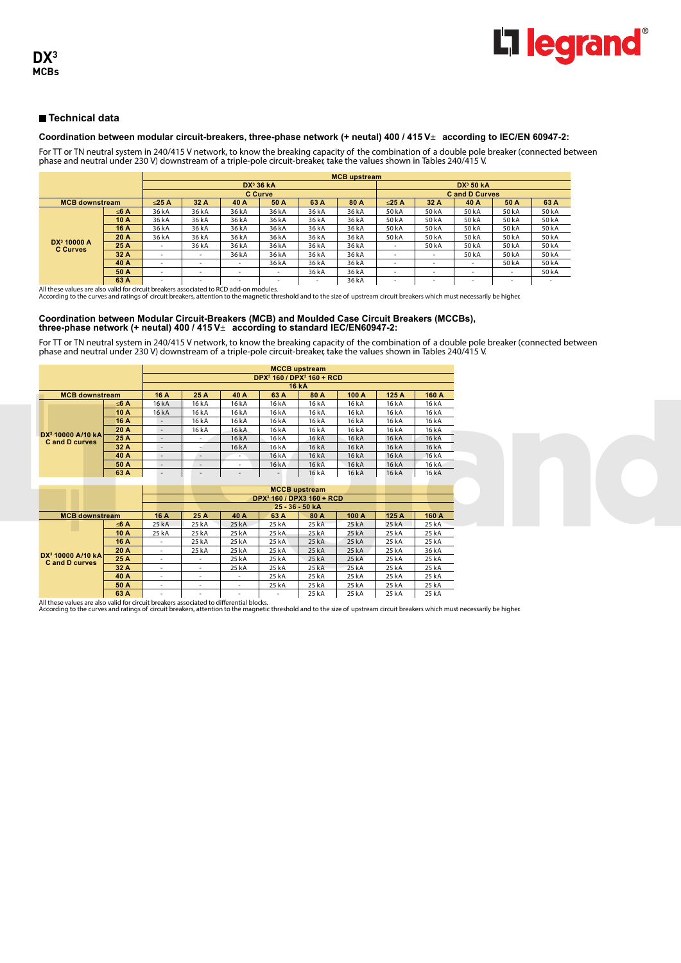

#### **Coordination between modular circuit-breakers, three-phase network (+ neutal) 400 / 415 V**± **according to IEC/EN 60947-2:**

For TT or TN neutral system in 240/415 V network, to know the breaking capacity of the combination of a double pole breaker (connected between phase and neutral under 230 V) downstream of a triple-pole circuit-breaker, take the values shown in Tables 240/415 V.

|                                            |             | <b>MCB</b> upstream      |                          |          |                       |                          |             |                          |                          |        |                          |       |  |  |
|--------------------------------------------|-------------|--------------------------|--------------------------|----------|-----------------------|--------------------------|-------------|--------------------------|--------------------------|--------|--------------------------|-------|--|--|
|                                            |             |                          |                          |          | DX <sup>3</sup> 36 kA | DX <sup>3</sup> 50 kA    |             |                          |                          |        |                          |       |  |  |
|                                            |             |                          |                          |          | <b>C</b> Curve        | <b>Cand D Curves</b>     |             |                          |                          |        |                          |       |  |  |
| <b>MCB downstream</b>                      | $\leq$ 25 A | 32 A                     | 40 A                     | 50 A     | 63 A                  | 80 A                     | $\leq$ 25 A | 32 A                     | 40 A                     | 50 A   | 63 A                     |       |  |  |
|                                            | ≤6 A        | 36 kA                    | 36 kA                    | 36 kA    | 36 kA                 | 36 kA                    | 36 kA       | 50 kA                    | 50 kA                    | 50 kA  | 50 kA                    | 50 kA |  |  |
|                                            | 10A         | 36 kA                    | 36 kA                    | 36 kA    | 36 kA                 | 36 kA                    | 36 kA       | 50 kA                    | 50 kA                    | 50 kA  | 50 kA                    | 50 kA |  |  |
|                                            | 16 A        | 36 kA                    | 36 kA                    | 36 kA    | 36 kA                 | 36 kA                    | 36 kA       | 50 kA                    | 50 kA                    | 50 kA  | 50 kA                    | 50 kA |  |  |
|                                            | 20 A        | 36 kA                    | 36 kA                    | 36 kA    | 36 kA                 | 36 kA                    | 36 kA       | 50 kA                    | 50 kA                    | 50 kA  | 50 kA                    | 50 kA |  |  |
| DX <sup>3</sup> 10000 A<br><b>C</b> Curves | 25 A        | $\overline{\phantom{a}}$ | 36 kA                    | 36 kA    | 36 kA                 | 36 kA                    | 36 kA       | $\overline{\phantom{a}}$ | 50 kA                    | 50 kA  | 50 kA                    | 50 kA |  |  |
|                                            | 32 A        | $\overline{\phantom{a}}$ | $\overline{\phantom{a}}$ | 36 kA    | 36 kA                 | 36 kA                    | 36 kA       | $\overline{\phantom{a}}$ | $\overline{\phantom{a}}$ | 50 kA  | 50 kA                    | 50 kA |  |  |
|                                            | 40 A        |                          |                          | <b>.</b> | 36 kA                 | 36 kA                    | 36 kA       | $\overline{\phantom{a}}$ | $\overline{\phantom{a}}$ |        | 50 kA                    | 50 kA |  |  |
|                                            | 50 A        |                          | <u>.</u>                 | <b>.</b> | -                     | 36 kA                    | 36 kA       | $\overline{\phantom{a}}$ | $\overline{\phantom{a}}$ | $\sim$ | $\overline{\phantom{a}}$ | 50 kA |  |  |
|                                            | 63 A        | $\overline{\phantom{a}}$ | <b>.</b>                 | -        | $\sim$                | $\overline{\phantom{a}}$ | 36 kA       | $\overline{\phantom{a}}$ | $\overline{\phantom{a}}$ | ۰      | $\overline{\phantom{a}}$ |       |  |  |

All these values are also valid for circuit breakers associated to RCD add-on modules. According to the curves and ratings of circuit breakers, attention to the magnetic threshold and to the size of upstream circuit breakers which must necessarily be higher. **63 A** - - - - - 36 kA - - - - -

#### **Coordination between Modular Circuit-Breakers (MCB) and Moulded Case Circuit Breakers (MCCBs), three-phase network (+ neutal) 400 / 415 V**± **according to standard IEC/EN60947-2:**

For TT or TN neutral system in 240/415 V network, to know the breaking capacity of the combination of a double pole breaker (connected between phase and neutral under 230 V) downstream of a triple-pole circuit-breaker, take the values shown in Tables 240/415 V.

|                                                      |      | <b>MCCB</b> upstream                              |       |                          |       |              |       |       |       |  |  |  |
|------------------------------------------------------|------|---------------------------------------------------|-------|--------------------------|-------|--------------|-------|-------|-------|--|--|--|
|                                                      |      | DPX <sup>3</sup> 160 / DPX <sup>3</sup> 160 + RCD |       |                          |       |              |       |       |       |  |  |  |
|                                                      |      |                                                   |       |                          |       | <b>16 kA</b> |       |       |       |  |  |  |
| <b>MCB</b> downstream                                |      | 16 A                                              | 25 A  | 40 A                     | 63 A  | 80 A         | 100 A | 125A  | 160 A |  |  |  |
|                                                      | ≤6 A | 16 kA                                             | 16 kA | 16 kA                    | 16 kA | 16 kA        | 16 kA | 16 kA | 16 kA |  |  |  |
|                                                      | 10 A | 16 kA                                             | 16 kA | 16 kA                    | 16 kA | 16 kA        | 16 kA | 16 kA | 16 kA |  |  |  |
|                                                      | 16 A | $\overline{\phantom{a}}$                          | 16 kA | 16 kA                    | 16 kA | 16kA         | 16 kA | 16 kA | 16 kA |  |  |  |
|                                                      | 20 A | $\overline{\phantom{a}}$                          | 16 kA | 16 kA                    | 16 kA | 16 kA        | 16 kA | 16 kA | 16 kA |  |  |  |
| $DX^3$ 10000 A/10 kA<br><b>C</b> and <b>D</b> curves | 25 A | $\overline{\phantom{a}}$                          |       | 16 kA                    | 16 kA | 16 kA        | 16 kA | 16 kA | 16 kA |  |  |  |
|                                                      | 32A  | $\overline{\phantom{a}}$                          |       | 16 kA                    | 16 kA | 16 kA        | 16 kA | 16 kA | 16 kA |  |  |  |
|                                                      | 40 A | $\overline{\phantom{a}}$                          |       | $\overline{\phantom{a}}$ | 16 kA | 16 kA        | 16 kA | 16 kA | 16 kA |  |  |  |
|                                                      | 50 A | $\overline{\phantom{a}}$                          | -     | ۰                        | 16 kA | 16 kA        | 16 kA | 16 kA | 16 kA |  |  |  |
|                                                      | 63 A | $\overline{\phantom{a}}$                          | -     | $\overline{\phantom{a}}$ |       | 16 kA        | 16 kA | 16 kA | 16 kA |  |  |  |

|                                              |      |                          |        |                          | DPX <sup>3</sup> 160 / DPX3 160 + RCD |             |       |       |       |
|----------------------------------------------|------|--------------------------|--------|--------------------------|---------------------------------------|-------------|-------|-------|-------|
|                                              |      |                          |        |                          |                                       | 25 36 50 kA |       |       |       |
| <b>MCB</b> downstream                        |      | 16 A                     | 25 A   | 40 A                     | 63 A                                  | 80 A        | 100A  | 125 A | 160 A |
|                                              | ≤6 A | 25 kA                    | 25 kA  | 25 kA                    | 25 kA                                 | 25 kA       | 25 kA | 25 kA | 25 kA |
|                                              | 10 A | 25 kA                    | 25 kA  | 25 kA                    | 25 kA                                 | 25 kA       | 25 kA | 25 kA | 25 kA |
|                                              | 16 A | $\overline{\phantom{a}}$ | 25 kA  | 25 kA                    | 25 kA                                 | 25 kA       | 25 kA | 25 kA | 25 kA |
|                                              | 20 A |                          | 25 kA  | 25 kA                    | 25 kA                                 | 25 kA       | 25 kA | 25 kA | 36 kA |
| $DX^3$ 10000 A/10 kA<br><b>Cand D curves</b> | 25 A |                          |        | 25 kA                    | 25 kA                                 | 25 kA       | 25 kA | 25 kA | 25 kA |
|                                              | 32 A | $\overline{\phantom{a}}$ | ٠      | 25 kA                    | 25 kA                                 | 25 kA       | 25 kA | 25 kA | 25 kA |
|                                              | 40 A | $\overline{\phantom{a}}$ | ٠      | $\overline{\phantom{a}}$ | 25 kA                                 | 25 kA       | 25 kA | 25 kA | 25 kA |
|                                              | 50 A | $\overline{\phantom{a}}$ | ٠      | $\overline{\phantom{a}}$ | 25 kA                                 | 25 kA       | 25 kA | 25 kA | 25 kA |
|                                              | 63 A | $\overline{\phantom{a}}$ | $\sim$ | ۰                        | ۰                                     | 25 kA       | 25 kA | 25 kA | 25 kA |

All these values are also valid for circuit breakers associated to differential blocks.<br>According to the curves and ratings of circuit breakers, attention to the magnetic threshold and to the size of upstream circuit break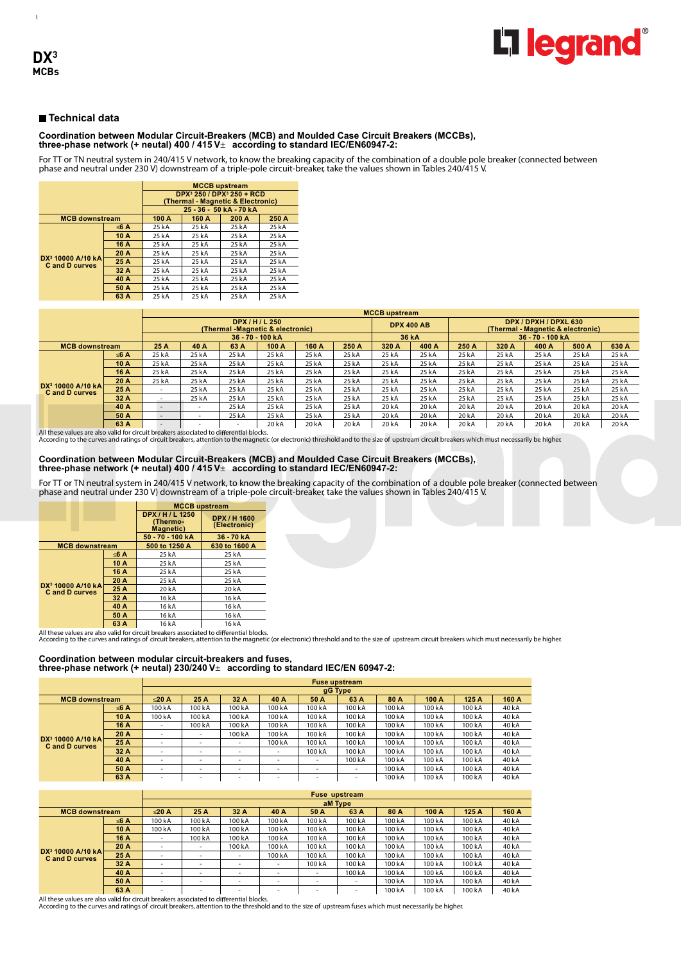$\mathbf{I}$ 

# **Technical data**

# **Coordination between Modular Circuit-Breakers (MCB) and Moulded Case Circuit Breakers (MCCBs), three-phase network (+ neutal) 400 / 415 V**± **according to standard IEC/EN60947-2:**

For TT or TN neutral system in 240/415 V network, to know the breaking capacity of the combination of a double pole breaker (connected between phase and neutral under 230 V) downstream of a triple-pole circuit-breaker, take the values shown in Tables 240/415 V.

|                                                       |         | <b>MCCB</b> upstream<br>DPX <sup>3</sup> 250 / DPX <sup>3</sup> 250 + RCD<br>(Thermal - Magnetic & Electronic) |       |                   |       |  |  |  |
|-------------------------------------------------------|---------|----------------------------------------------------------------------------------------------------------------|-------|-------------------|-------|--|--|--|
|                                                       |         |                                                                                                                |       | 25 36 50 kA 70 kA |       |  |  |  |
| <b>MCB</b> downstream                                 |         | 100 A                                                                                                          | 160 A | 200 A             | 250 A |  |  |  |
|                                                       | $<$ 6 A | 25kA                                                                                                           | 25 kA | 25 kA             | 25 kA |  |  |  |
|                                                       | 10 A    | 25 kA                                                                                                          | 25 kA | 25 kA             | 25 kA |  |  |  |
|                                                       | 16 A    | 25 kA                                                                                                          | 25 kA | 25 kA             | 25 kA |  |  |  |
|                                                       | 20 A    | 25 kA                                                                                                          | 25kA  | 25 kA             | 25kA  |  |  |  |
| DX <sup>3</sup> 10000 A/10 kA<br><b>Cand D curves</b> | 25 A    | 25 kA                                                                                                          | 25kA  | 25 kA             | 25kA  |  |  |  |
|                                                       | 32A     | 25 kA                                                                                                          | 25kA  | 25 kA             | 25kA  |  |  |  |
|                                                       | 40 A    | 25 kA                                                                                                          | 25kA  | 25 kA             | 25kA  |  |  |  |
|                                                       | 50 A    | 25 kA                                                                                                          | 25 kA | 25 kA             | 25 kA |  |  |  |
|                                                       | 63 A    | 25kA                                                                                                           | 25kA  | 25 kA             | 25 kA |  |  |  |

|                                                       |      |                          | <b>MCCB</b> upstream     |                                  |                   |       |       |       |                   |                                                            |       |              |       |       |
|-------------------------------------------------------|------|--------------------------|--------------------------|----------------------------------|-------------------|-------|-------|-------|-------------------|------------------------------------------------------------|-------|--------------|-------|-------|
|                                                       |      |                          |                          | (Thermal -Magnetic & electronic) | <b>DPX/H/L250</b> |       |       |       | <b>DPX 400 AB</b> | DPX / DPXH / DPXL 630<br>(Thermal - Magnetic & electronic) |       |              |       |       |
|                                                       |      |                          |                          |                                  | 36 70 100 kA      |       |       |       | 36 kA             |                                                            |       | 36 70 100 kA |       |       |
| <b>MCB downstream</b>                                 |      | 25 A                     | 40 A                     | 63 A                             | 100 A             | 160 A | 250 A | 320 A | 400 A             | 250 A                                                      | 320 A | 400 A        | 500 A | 630 A |
|                                                       | ≤6 A | 25 kA                    | 25 kA                    | 25 kA                            | 25 kA             | 25 kA | 25 kA | 25 kA | 25 kA             | 25 kA                                                      | 25 kA | 25 kA        | 25 kA | 25 kA |
|                                                       | 10 A | 25 kA                    | 25 kA                    | 25 kA                            | 25 kA             | 25 kA | 25 kA | 25 kA | 25 kA             | 25 kA                                                      | 25 kA | 25 kA        | 25 kA | 25 kA |
|                                                       | 16 A | 25 kA                    | 25 kA                    | 25 kA                            | 25 kA             | 25 kA | 25 kA | 25 kA | 25 kA             | 25 kA                                                      | 25 kA | 25 kA        | 25 kA | 25 kA |
|                                                       | 20 A | 25 kA                    | 25 kA                    | 25 kA                            | 25 kA             | 25 kA | 25 kA | 25 kA | 25 kA             | 25 kA                                                      | 25 kA | 25 kA        | 25 kA | 25 kA |
| DX <sup>3</sup> 10000 A/10 kA<br><b>Cand D curves</b> | 25 A | $\overline{\phantom{a}}$ | 25 kA                    | 25 kA                            | 25 kA             | 25 kA | 25 kA | 25 kA | 25 kA             | 25 kA                                                      | 25 kA | 25 kA        | 25 kA | 25 kA |
|                                                       | 32A  | $\overline{\phantom{a}}$ | 25 kA                    | 25 kA                            | 25 kA             | 25 kA | 25 kA | 25 kA | 25 kA             | 25 kA                                                      | 25 kA | 25 kA        | 25 kA | 25 kA |
|                                                       | 40 A | $\overline{\phantom{0}}$ | $\overline{\phantom{a}}$ | 25 kA                            | 25 kA             | 25 kA | 25 kA | 20 kA | 20 kA             | 20 kA                                                      | 20 kA | 20 kA        | 20 kA | 20 kA |
|                                                       | 50 A | $\overline{\phantom{0}}$ | $\overline{\phantom{a}}$ | 25 kA                            | 25 kA             | 25 kA | 25 kA | 20 kA | 20 kA             | 20 kA                                                      | 20 kA | 20 kA        | 20 kA | 20 kA |
|                                                       | 63 A | $\sim$                   |                          | $\overline{\phantom{a}}$         | 20 kA             | 20 kA | 20 kA | 20 kA | 20 kA             | 20 kA                                                      | 20 kA | 20 kA        | 20 kA | 20 kA |

All these values are also valid for circuit breakers associated to differential blocks.<br>According to the curves and ratings of circuit breakers, attention to the magnetic (or electronic) threshold and to the size of upstre

#### **Coordination between Modular Circuit-Breakers (MCB) and Moulded Case Circuit Breakers (MCCBs), three-phase network (+ neutal) 400 / 415 V**± **according to standard IEC/EN60947-2:**

For TT or TN neutral system in 240/415 V network, to know the breaking capacity of the combination of a double pole breaker (connected between phase and neutral under 230 V) downstream of a triple-pole circuit-breaker, take the values shown in Tables 240/415 V.

|                                                       |      |                                                   | <b>MCCB</b> upstream                |
|-------------------------------------------------------|------|---------------------------------------------------|-------------------------------------|
|                                                       |      | DPX / H / L 1250<br>(Thermo-<br><b>Magnetic</b> ) | <b>DPX / H 1600</b><br>(Electronic) |
|                                                       |      | 50 - 70 - 100 kA                                  | 36 70 kA                            |
| <b>MCB downstream</b>                                 |      | 500 to 1250 A                                     | 630 to 1600 A                       |
|                                                       | ≤6 A | 25 kA                                             | 25 kA                               |
|                                                       | 10 A | 25 kA                                             | 25 kA                               |
|                                                       | 16 A | 25 kA                                             | 25 kA                               |
|                                                       | 20 A | 25 kA                                             | 25 kA                               |
| DX <sup>3</sup> 10000 A/10 kA<br><b>Cand D curves</b> | 25 A | 20 kA                                             | 20 kA                               |
|                                                       | 32 A | 16 kA                                             | 16 kA                               |
|                                                       | 40 A | 16 kA                                             | 16 kA                               |
|                                                       | 50 A | 16 kA                                             | 16 kA                               |
|                                                       | 63 A | 16 kA                                             | 16 kA                               |

All these values are also valid for circuit breakers associated to differential blocks.<br>According to the curves and ratings of circuit breakers, attention to the magnetic (or electronic) threshold and to the size of upstre

#### **Coordination between modular circuit-breakers and fuses, three-phase network (+ neutal) 230/240 V**± **according to standard IEC/EN 60947-2:**

|                                              |      | <b>Fuse upstream</b>     |                          |                          |                          |         |                          |        |        |        |       |  |  |
|----------------------------------------------|------|--------------------------|--------------------------|--------------------------|--------------------------|---------|--------------------------|--------|--------|--------|-------|--|--|
|                                              |      |                          |                          |                          |                          | gG Type |                          |        |        |        |       |  |  |
| <b>MCB downstream</b>                        |      | $\leq$ 20 A              | 25 A                     | 32 A                     | 40 A                     | 50 A    | 63 A                     | 80 A   | 100 A  | 125A   | 160 A |  |  |
|                                              | ≤6 A | 100 kA                   | 100 kA                   | 100 kA                   | 100 kA                   | 100 kA  | 100 kA                   | 100 kA | 100 kA | 100 kA | 40 kA |  |  |
|                                              | 10 A | 100 kA                   | 100 kA                   | 100 <sub>k</sub> A       | 100 kA                   | 100 kA  | 100 kA                   | 100 kA | 100 kA | 100 kA | 40 kA |  |  |
|                                              | 16 A | ٠                        | 100 kA                   | 100 <sub>k</sub> A       | 100 kA                   | 100 kA  | 100 kA                   | 100 kA | 100 kA | 100 kA | 40 kA |  |  |
|                                              | 20 A | ٠                        | $\overline{\phantom{a}}$ | 100 kA                   | 100 kA                   | 100 kA  | 100 kA                   | 100 kA | 100 kA | 100 kA | 40 kA |  |  |
| $DX^3$ 10000 A/10 kA<br><b>Cand D curves</b> | 25 A | ٠                        | $\overline{\phantom{a}}$ | $\overline{\phantom{a}}$ | 100 kA                   | 100 kA  | 100 kA                   | 100 kA | 100 kA | 100 kA | 40 kA |  |  |
|                                              | 32 A | $\overline{\phantom{a}}$ | $\overline{\phantom{a}}$ | $\overline{\phantom{a}}$ | $\overline{\phantom{a}}$ | 100 kA  | 100 kA                   | 100 kA | 100 kA | 100 kA | 40 kA |  |  |
|                                              | 40 A | $\overline{\phantom{a}}$ | $\overline{\phantom{a}}$ | -                        | $\overline{\phantom{a}}$ | -       | 100 k A                  | 100 kA | 100 kA | 100 kA | 40 kA |  |  |
|                                              | 50 A | ٠                        | <b>.</b>                 | $\sim$                   | <b>.</b>                 | -       |                          | 100 kA | 100 kA | 100 kA | 40 kA |  |  |
|                                              | 63 A | $\overline{\phantom{a}}$ | $\overline{\phantom{a}}$ | $\overline{\phantom{a}}$ | $\overline{\phantom{a}}$ | -       | $\overline{\phantom{a}}$ | 100 kA | 100 kA | 100 kA | 40 kA |  |  |

|                                              |      | <b>Fuse upstream</b>     |                          |                          |                          |                          |                          |        |        |        |       |  |  |
|----------------------------------------------|------|--------------------------|--------------------------|--------------------------|--------------------------|--------------------------|--------------------------|--------|--------|--------|-------|--|--|
|                                              |      | aM Type                  |                          |                          |                          |                          |                          |        |        |        |       |  |  |
| <b>MCB</b> downstream                        |      | $\leq$ 20 A              | 25 A                     | 32 A                     | 40 A                     | 50 A                     | 63 A                     | 80 A   | 100 A  | 125A   | 160 A |  |  |
|                                              | ≤6 A | 100 kA                   | 100 kA                   | 100 kA                   | 100 kA                   | 100 kA                   | 100 kA                   | 100 kA | 100 kA | 100 kA | 40 kA |  |  |
|                                              | 10 A | 100 kA                   | 100 kA                   | 100 <sub>k</sub> A       | 100 kA                   | 100 kA                   | 100 kA                   | 100 kA | 100 kA | 100 kA | 40 kA |  |  |
|                                              | 16 A | ٠                        | 100 kA                   | 100 <sub>k</sub> A       | 100 kA                   | 100 kA                   | 100 kA                   | 100 kA | 100 kA | 100 kA | 40 kA |  |  |
|                                              | 20 A | ٠                        | $\overline{\phantom{a}}$ | 100 kA                   | 100 kA                   | 100 kA                   | 100 kA                   | 100 kA | 100 kA | 100 kA | 40 kA |  |  |
| $DX^3$ 10000 A/10 kA<br><b>Cand D curves</b> | 25 A | $\overline{\phantom{a}}$ | $\overline{\phantom{a}}$ | $\overline{\phantom{a}}$ | 100 kA                   | 100 kA                   | 100 kA                   | 100 kA | 100 kA | 100 kA | 40 kA |  |  |
|                                              | 32 A | $\overline{\phantom{a}}$ | $\overline{\phantom{a}}$ | $\overline{\phantom{a}}$ | $\overline{\phantom{a}}$ | 100 kA                   | 100 kA                   | 100 kA | 100 kA | 100 kA | 40 kA |  |  |
|                                              | 40 A | $\overline{\phantom{a}}$ | $\overline{\phantom{a}}$ | $\overline{\phantom{a}}$ | $\overline{\phantom{a}}$ | $\overline{\phantom{a}}$ | 100 kA                   | 100 kA | 100 kA | 100 kA | 40 kA |  |  |
|                                              | 50 A | ٠                        | $\overline{\phantom{a}}$ | $\overline{\phantom{a}}$ | $\overline{\phantom{a}}$ | ۰                        | $\overline{\phantom{a}}$ | 100 kA | 100 kA | 100 kA | 40 kA |  |  |
|                                              | 63 A | ٠                        | ٠                        | $\overline{\phantom{a}}$ | <b>.</b>                 | -                        | $\overline{\phantom{a}}$ | 100 kA | 100 kA | 100 kA | 40 kA |  |  |

All these values are also valid for circuit breakers associated to differential blocks According to the curves and ratings of circuit breakers, attention to the threshold and to the size of upstream fuses which must necessarily be higher.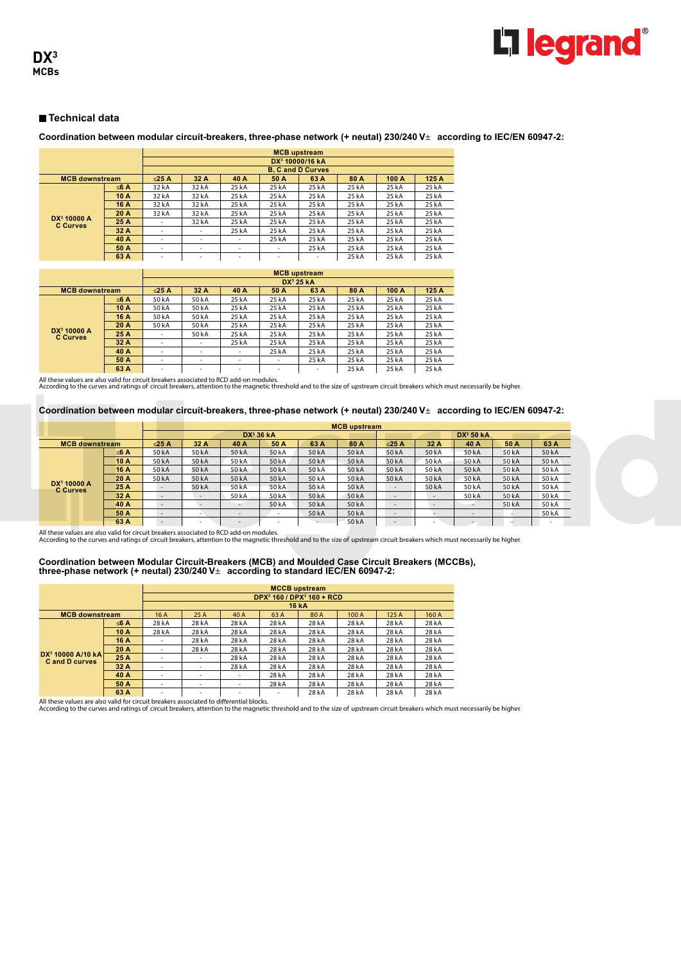**Coordination between modular circuit-breakers, three-phase network (+ neutal) 230/240 V**± **according to IEC/EN 60947-2:**

|                                            |      | <b>MCB</b> upstream      |       |       |       |                             |       |       |       |  |  |  |
|--------------------------------------------|------|--------------------------|-------|-------|-------|-----------------------------|-------|-------|-------|--|--|--|
|                                            |      |                          |       |       |       | DX <sup>3</sup> 10000/16 kA |       |       |       |  |  |  |
|                                            |      |                          |       |       |       | <b>B. C and D Curves</b>    |       |       |       |  |  |  |
| <b>MCB</b> downstream                      |      | $\leq$ 25 A              | 32 A  | 40 A  | 50 A  | 63 A                        | 80 A  | 100 A | 125 A |  |  |  |
|                                            | ≤6 A | 32 kA                    | 32 kA | 25 kA | 25 kA | 25 kA                       | 25 kA | 25 kA | 25 kA |  |  |  |
|                                            | 10 A | 32 kA                    | 32 kA | 25 kA | 25 kA | 25 kA                       | 25 kA | 25 kA | 25 kA |  |  |  |
|                                            | 16 A | 32 kA                    | 32 kA | 25 kA | 25 kA | 25 kA                       | 25 kA | 25 kA | 25 kA |  |  |  |
|                                            | 20 A | 32 kA                    | 32 kA | 25 kA | 25 kA | 25 kA                       | 25 kA | 25 kA | 25 kA |  |  |  |
| DX <sup>3</sup> 10000 A<br><b>C</b> Curves | 25 A | ۰                        | 32 kA | 25 kA | 25 kA | 25 kA                       | 25 kA | 25 kA | 25 kA |  |  |  |
|                                            | 32 A | $\overline{\phantom{a}}$ | -     | 25 kA | 25 kA | 25 kA                       | 25 kA | 25 kA | 25 kA |  |  |  |
|                                            | 40 A | $\overline{\phantom{a}}$ | -     | ۰     | 25 kA | 25 kA                       | 25 kA | 25 kA | 25 kA |  |  |  |
|                                            | 50 A | -                        | -     | ٠     | -     | 25 kA                       | 25 kA | 25 kA | 25 kA |  |  |  |
| 63 A                                       |      | $\overline{\phantom{a}}$ | -     | ۰     | -     | $\overline{\phantom{a}}$    | 25 kA | 25 kA | 25 kA |  |  |  |

|                                            |      | <b>MCB</b> upstream      |                          |                          |          |                       |       |       |       |  |  |  |
|--------------------------------------------|------|--------------------------|--------------------------|--------------------------|----------|-----------------------|-------|-------|-------|--|--|--|
|                                            |      |                          |                          |                          |          | DX <sup>3</sup> 25 kA |       |       |       |  |  |  |
| <b>MCB</b> downstream                      |      | $\leq$ 25 A              | 32 A                     | 40 A                     | 50 A     | 63 A                  | 80 A  | 100 A | 125 A |  |  |  |
|                                            | ≤6 A | 50 kA                    | 50 kA                    | 25 kA                    | 25 kA    | 25 kA                 | 25 kA | 25 kA | 25 kA |  |  |  |
|                                            | 10 A | 50 kA                    | 50 kA                    | 25 kA                    | 25 kA    | 25 kA                 | 25 kA | 25 kA | 25 kA |  |  |  |
|                                            | 16 A | 50 kA                    | 50 kA                    | 25 kA                    | 25 kA    | 25 kA                 | 25 kA | 25 kA | 25 kA |  |  |  |
|                                            | 20A  | 50 kA                    | 50 kA                    | 25 kA                    | 25 kA    | 25 kA                 | 25 kA | 25 kA | 25 kA |  |  |  |
| DX <sup>3</sup> 10000 A<br><b>C Curves</b> | 25 A | $\overline{\phantom{a}}$ | 50 kA                    | 25 kA                    | 25 kA    | 25 kA                 | 25 kA | 25 kA | 25 kA |  |  |  |
|                                            | 32 A | $\overline{\phantom{a}}$ | $\overline{\phantom{a}}$ | 25 kA                    | 25 kA    | 25 kA                 | 25 kA | 25 kA | 25 kA |  |  |  |
|                                            | 40 A | $\overline{\phantom{a}}$ | $\overline{\phantom{a}}$ | $\overline{\phantom{a}}$ | 25 kA    | 25 kA                 | 25 kA | 25 kA | 25 kA |  |  |  |
|                                            | 50 A | $\overline{\phantom{a}}$ | $\overline{\phantom{a}}$ | $\overline{\phantom{a}}$ | <b>.</b> | 25 kA                 | 25 kA | 25 kA | 25 kA |  |  |  |
|                                            | 63 A | $\overline{\phantom{a}}$ | $\sim$                   | ۰                        | <b>.</b> | ۰                     | 25 kA | 25 kA | 25 kA |  |  |  |

All these values are also valid for circuit breakers associated to RCD add-on modules.<br>According to the curves and ratings of circuit breakers, attention to the magnetic threshold and to the size of upstream circuit breake

#### **Coordination between modular circuit-breakers, three-phase network (+ neutal) 230/240 V**± **according to IEC/EN 60947-2:**

|                                            |      |                          |                          | <b>MCB</b> upstream      |                          |       |       |                          |                          |                          |       |                          |  |
|--------------------------------------------|------|--------------------------|--------------------------|--------------------------|--------------------------|-------|-------|--------------------------|--------------------------|--------------------------|-------|--------------------------|--|
|                                            |      |                          |                          | $DX3$ 36 kA              |                          |       |       |                          |                          | DX <sup>3</sup> 50 KA    |       |                          |  |
| <b>MCB</b> downstream                      |      | $\leq$ 25 A              | 32 A                     | 40 A                     | 50 A                     | 63 A  | 80 A  | $\leq$ 25 A              | 32 A                     | 40 A                     | 50 A  | 63 A                     |  |
|                                            | ≤6 A | 50 kA                    | 50 kA                    | 50 kA                    | 50 kA                    | 50 kA | 50 kA | 50 kA                    | 50 kA                    | 50 kA                    | 50 kA | 50 kA                    |  |
|                                            | 10 A | 50 kA                    | 50 kA                    | 50 kA                    | 50 kA                    | 50 kA | 50 kA | 50 kA                    | 50 kA                    | 50 kA                    | 50 kA | 50 kA                    |  |
|                                            | 16 A | 50 kA                    | 50 kA                    | 50 kA                    | 50 kA                    | 50 kA | 50 kA | 50 kA                    | 50 kA                    | 50 kA                    | 50 kA | 50 kA                    |  |
|                                            | 20 A | 50 kA                    | 50 kA                    | 50 kA                    | 50 kA                    | 50 kA | 50 kA | 50 kA                    | 50 kA                    | 50 kA                    | 50 kA | 50 kA                    |  |
| DX <sup>3</sup> 10000 A<br><b>C</b> Curves | 25 A | $\overline{\phantom{a}}$ | 50 kA                    | 50 kA                    | 50 kA                    | 50 kA | 50 kA | $\overline{\phantom{0}}$ | 50 kA                    | 50 kA                    | 50 kA | 50 kA                    |  |
|                                            | 32 A | -                        | $\overline{\phantom{a}}$ | 50 kA                    | 50 kA                    | 50 kA | 50 kA | .                        | $\overline{\phantom{0}}$ | 50 kA                    | 50 kA | 50 kA                    |  |
|                                            | 40 A | $\overline{\phantom{a}}$ |                          | $\overline{\phantom{a}}$ | 50 kA                    | 50 kA | 50 kA | $\overline{\phantom{a}}$ | $\overline{\phantom{a}}$ | $\overline{\phantom{a}}$ | 50 kA | 50 kA                    |  |
|                                            | 50 A | $\overline{\phantom{a}}$ | $\overline{\phantom{a}}$ | $\overline{\phantom{a}}$ | $\overline{\phantom{a}}$ | 50 kA | 50 kA | $\overline{\phantom{a}}$ |                          | $\overline{\phantom{a}}$ |       | 50 kA                    |  |
|                                            | 63 A | -                        | $\overline{\phantom{a}}$ | $\overline{\phantom{a}}$ | $\sim$                   |       | 50 kA | $\sim$                   | $\overline{\phantom{a}}$ | $\overline{\phantom{a}}$ |       | $\overline{\phantom{a}}$ |  |

All these values are also valid for circuit breakers associated to RCD add-on modules.<br>According to the curves and ratings of circuit breakers, attention to the magnetic threshold and to the size of upstream circuit breake

# **Coordination between Modular Circuit-Breakers (MCB) and Moulded Case Circuit Breakers (MCCBs), three-phase network (+ neutal) 230/240 V**± **according to standard IEC/EN 60947-2:**

|                                                      |      | <b>MCCB</b> upstream     |       |                          |                                                   |              |       |       |       |  |  |
|------------------------------------------------------|------|--------------------------|-------|--------------------------|---------------------------------------------------|--------------|-------|-------|-------|--|--|
|                                                      |      |                          |       |                          | DPX <sup>3</sup> 160 / DPX <sup>3</sup> 160 + RCD |              |       |       |       |  |  |
|                                                      |      |                          |       |                          |                                                   | <b>16 kA</b> |       |       |       |  |  |
| <b>MCB downstream</b>                                |      | 16A                      | 25A   | 40 A                     | 63 A                                              | 80A          | 100 A | 125A  | 160 A |  |  |
|                                                      | ≤6 A | 28 kA                    | 28 kA | 28 kA                    | 28 kA                                             | 28 kA        | 28 kA | 28 kA | 28 kA |  |  |
|                                                      | 10 A | 28 kA                    | 28 kA | 28 kA                    | 28 kA                                             | 28 kA        | 28 kA | 28 kA | 28 kA |  |  |
|                                                      | 16 A | $\overline{\phantom{a}}$ | 28 kA | 28 kA                    | 28 kA                                             | 28 kA        | 28 kA | 28 kA | 28 kA |  |  |
|                                                      | 20 A | ۰                        | 28 kA | 28 kA                    | 28 kA                                             | 28 kA        | 28 kA | 28 kA | 28 kA |  |  |
| $DX^3$ 10000 A/10 kA<br><b>C</b> and <b>D</b> curves | 25 A | ۰                        | ٠     | 28 kA                    | 28 kA                                             | 28 kA        | 28 kA | 28 kA | 28 kA |  |  |
|                                                      | 32A  | ٠                        | ٠     | 28 kA                    | 28 kA                                             | 28 kA        | 28 kA | 28 kA | 28 kA |  |  |
|                                                      | 40 A | $\overline{\phantom{a}}$ | ٠     | $\overline{\phantom{a}}$ | 28 kA                                             | 28 kA        | 28 kA | 28 kA | 28 kA |  |  |
|                                                      | 50 A | ۰                        | -     | ۰                        | 28 kA                                             | 28 kA        | 28 kA | 28 kA | 28 kA |  |  |
|                                                      | 63 A | ۰                        | -     | ۰                        | ۰                                                 | 28 kA        | 28 kA | 28 kA | 28 kA |  |  |

and these values are also a large to the element of the section of the section of the section of the section o<br>All these values are also valid for circuit breakers associated to differential blocks.<br>According to the curves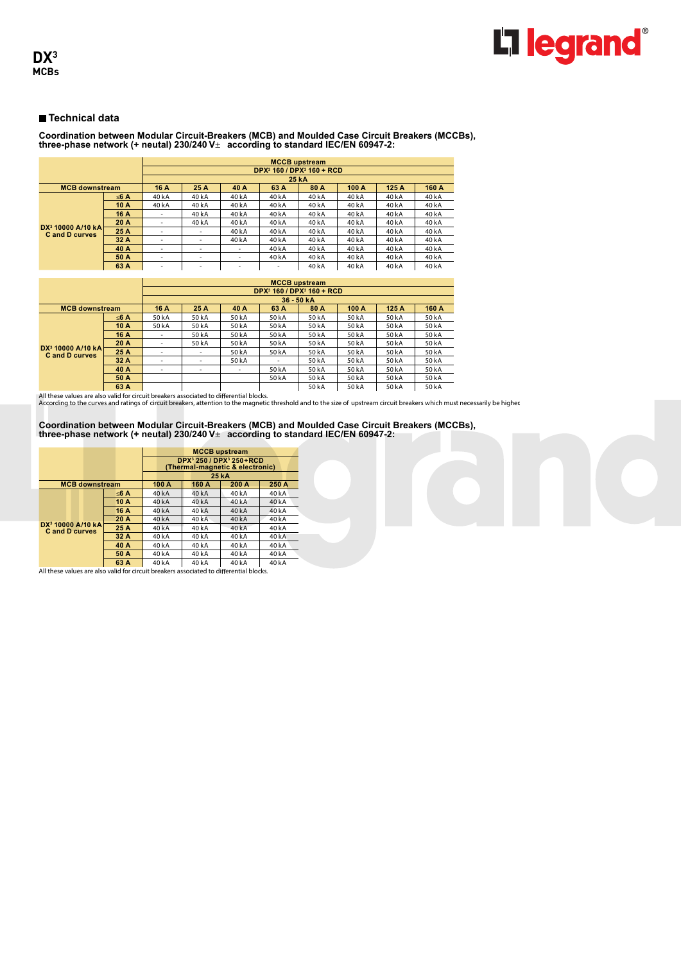

# **Coordination between Modular Circuit-Breakers (MCB) and Moulded Case Circuit Breakers (MCCBs), three-phase network (+ neutal) 230/240 V**± **according to standard IEC/EN 60947-2:**

|                               |      | <b>MCCB</b> upstream     |       |                          |                                                   |       |       |       |       |  |  |
|-------------------------------|------|--------------------------|-------|--------------------------|---------------------------------------------------|-------|-------|-------|-------|--|--|
|                               |      |                          |       |                          | DPX <sup>3</sup> 160 / DPX <sup>3</sup> 160 + RCD |       |       |       |       |  |  |
|                               |      |                          |       |                          |                                                   | 25 kA |       |       |       |  |  |
| <b>MCB downstream</b>         |      | 16 A                     | 25 A  | 40 A                     | 63 A                                              | 80 A  | 100A  | 125A  | 160 A |  |  |
|                               | ≤6 A | 40 kA                    | 40 kA | 40 kA                    | 40 kA                                             | 40 kA | 40 kA | 40 kA | 40 kA |  |  |
|                               | 10 A | 40 kA                    | 40 kA | 40 kA                    | 40 kA                                             | 40 kA | 40 kA | 40 kA | 40 kA |  |  |
|                               | 16 A | $\overline{\phantom{a}}$ | 40 kA | 40 kA                    | 40 kA                                             | 40 kA | 40 kA | 40 kA | 40 kA |  |  |
| DX <sup>3</sup> 10000 A/10 kA | 20 A | $\overline{\phantom{a}}$ | 40 kA | 40 kA                    | 40 kA                                             | 40 kA | 40 kA | 40 kA | 40 kA |  |  |
| <b>Cand D curves</b>          | 25 A | <b>.</b>                 | ۰     | 40 kA                    | 40 k A                                            | 40kA  | 40 kA | 40 kA | 40 kA |  |  |
|                               | 32 A | $\overline{\phantom{a}}$ | ٠     | 40 kA                    | 40 kA                                             | 40 kA | 40 kA | 40 kA | 40 kA |  |  |
|                               | 40 A | $\overline{\phantom{a}}$ | ٠     | $\overline{\phantom{a}}$ | 40 kA                                             | 40 kA | 40 kA | 40 kA | 40 kA |  |  |
|                               | 50 A | $\overline{\phantom{a}}$ | ۰     | ۰                        | 40 kA                                             | 40 kA | 40 kA | 40 kA | 40 kA |  |  |
| 63 A                          |      | $\overline{\phantom{a}}$ | ٠     | -                        | ٠                                                 | 40 kA | 40 kA | 40 kA | 40 kA |  |  |

|                       |      | <b>MCCB</b> upstream     |       |                          |                                                   |        |        |        |              |  |  |  |
|-----------------------|------|--------------------------|-------|--------------------------|---------------------------------------------------|--------|--------|--------|--------------|--|--|--|
|                       |      |                          |       |                          | DPX <sup>3</sup> 160 / DPX <sup>3</sup> 160 + RCD |        |        |        |              |  |  |  |
|                       |      | 36 - 50 kA               |       |                          |                                                   |        |        |        |              |  |  |  |
| <b>MCB</b> downstream |      | 16 A                     | 25 A  | 40 A                     | 63 A                                              | 80 A   | 100 A  | 125A   | 160 A        |  |  |  |
|                       | ≤6 A | 50 kA                    | 50 kA | 50 kA                    | 50 kA                                             | 50 kA  | 50 kA  | 50 kA  | 50 kA        |  |  |  |
|                       | 10A  | 50 kA                    | 50 kA | 50 kA                    | 50 kA                                             | 50 kA  | 50 kA  | 50 kA  | 50 kA        |  |  |  |
|                       | 16 A | $\overline{\phantom{a}}$ | 50 kA | 50 kA                    | 50 kA                                             | 50 kA  | 50 kA  | 50 kA  | 50 kA        |  |  |  |
|                       | 20 A | $\overline{\phantom{a}}$ | 50 kA | 50 kA                    | 50 kA                                             | 50 kA  | 50 kA  | 50 kA  | 50 kA        |  |  |  |
| $DX^3$ 10000 A/10 kA  | 25 A | ۰                        | ۰     | 50 kA                    | 50 kA                                             | 50 kA  | 50 kA  | 50 kA  | 50 kA        |  |  |  |
| <b>Cand D curves</b>  | 32 A | ۰                        | ۰     | 50 kA                    |                                                   | 50 kA  | 50 kA  | 50 kA  | 50 kA        |  |  |  |
|                       | 40 A | ۰                        | ۰     | $\overline{\phantom{a}}$ | 50 kA                                             | 50 kA  | 50 kA  | 50 kA  | 50 kA        |  |  |  |
|                       | 50 A |                          |       |                          | 50 kA                                             | 50 kA  | 50 kA  | 50 kA  | 50 kA        |  |  |  |
|                       | 63 A |                          |       |                          |                                                   | 50 k A | 50 L A | 50 L A | <b>50 LA</b> |  |  |  |

and these values are also and the case of the contribution of the contribution of the set of the set of the se<br>All these values are also valid for circuit breakers associated to differential blocks.<br>According to the curves

# **Coordination between Modular Circuit-Breakers (MCB) and Moulded Case Circuit Breakers (MCCBs), three-phase network (+ neutal) 230/240 V**± **according to standard IEC/EN 60947-2:**

|                                                       |      |       |                                                                                      | <b>MCCB</b> upstream |                   |
|-------------------------------------------------------|------|-------|--------------------------------------------------------------------------------------|----------------------|-------------------|
|                                                       |      |       | DPX <sup>3</sup> 250 / DPX <sup>3</sup> 250 + RCD<br>(Thermal-magnetic & electronic) |                      |                   |
|                                                       |      |       |                                                                                      | 25 kA                |                   |
| <b>MCB</b> downstream                                 |      | 100 A | 160 A                                                                                | 200 A                | 250 A             |
|                                                       | ≤6 A | 40 kA | 40 kA                                                                                | 40 kA                | 40 kA             |
|                                                       | 10 A | 40kA  | 40kA                                                                                 | 40kA                 | 40kA              |
|                                                       | 16 A | 40 kA | 40kA                                                                                 | 40 kA                | 40kA              |
|                                                       | 20 A | 40kA  | 40 kA                                                                                | 40 kA                | 40 kA             |
| DX <sup>3</sup> 10000 A/10 kA<br><b>Cand D curves</b> | 25 A | 40 kA | 40 kA                                                                                | 40 kA                | 40 kA             |
|                                                       | 32 A | 40 kA | 40 kA                                                                                | 40 kA                | 40 kA             |
|                                                       | 40 A | 40 kA | 40 kA                                                                                | 40 kA                | 40 kA             |
|                                                       | 50 A | 40 kA | 40 kA                                                                                | 40 kA                | 40 kA             |
|                                                       | 63 A | AOVA  | $A \cap L \Delta$                                                                    | $A \cap L \Delta$    | $A \cap L \Delta$ |

**All these values are also valid for circuit breakers associated to differential blocks.**<br>All these values are also valid for circuit breakers associated to differential blocks.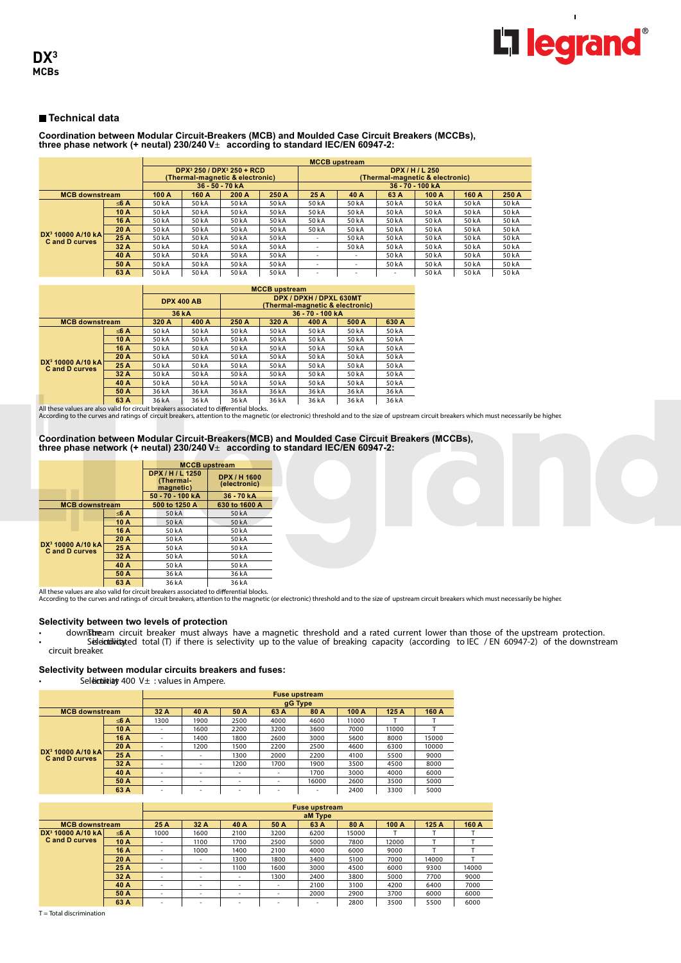

# **Coordination between Modular Circuit-Breakers (MCB) and Moulded Case Circuit Breakers (MCCBs), three phase network (+ neutal) 230/240 V**± **according to standard IEC/EN 60947-2:**

|                                                               |      | <b>MCCB</b> upstream |                                                                                      |       |       |                                                    |                          |                          |       |       |       |  |  |
|---------------------------------------------------------------|------|----------------------|--------------------------------------------------------------------------------------|-------|-------|----------------------------------------------------|--------------------------|--------------------------|-------|-------|-------|--|--|
|                                                               |      |                      | DPX <sup>3</sup> 250 / DPX <sup>3</sup> 250 + RCD<br>(Thermal-magnetic & electronic) |       |       | DPX / H / L 250<br>(Thermal-magnetic & electronic) |                          |                          |       |       |       |  |  |
|                                                               |      |                      | 36 50 70 kA                                                                          |       |       | 36 70 100 kA                                       |                          |                          |       |       |       |  |  |
| <b>MCB downstream</b>                                         |      | 100A                 | 160 A                                                                                | 200 A | 250 A | 25 A                                               | 40 A                     | 63 A                     | 100 A | 160 A | 250 A |  |  |
|                                                               | ≤6 A | 50 kA                | 50 kA                                                                                | 50 kA | 50 kA | 50 kA                                              | 50 kA                    | 50 kA                    | 50 kA | 50 kA | 50 kA |  |  |
|                                                               | 10 A | 50 kA                | 50 kA                                                                                | 50 kA | 50 kA | 50 kA                                              | 50 kA                    | 50 kA                    | 50 kA | 50 kA | 50 kA |  |  |
|                                                               | 16 A | 50 kA                | 50 kA                                                                                | 50 kA | 50 kA | 50 kA                                              | 50 kA                    | 50 kA                    | 50 kA | 50 kA | 50 kA |  |  |
|                                                               | 20 A | 50 kA                | 50 kA                                                                                | 50 kA | 50 kA | 50 kA                                              | 50 kA                    | 50 kA                    | 50 kA | 50 kA | 50 kA |  |  |
| DX <sup>3</sup> 10000 A/10 kA<br><b>C</b> and <b>D</b> curves | 25 A | 50 kA                | 50 kA                                                                                | 50 kA | 50 kA | ٠                                                  | 50 kA                    | 50 kA                    | 50 kA | 50 kA | 50 kA |  |  |
|                                                               | 32A  | 50 kA                | 50 kA                                                                                | 50 kA | 50 kA | ۰                                                  | 50 kA                    | 50 kA                    | 50 kA | 50 kA | 50 kA |  |  |
|                                                               | 40 A | 50 kA                | 50 kA                                                                                | 50 kA | 50 kA | ٠                                                  | $\overline{\phantom{a}}$ | 50 kA                    | 50 kA | 50 kA | 50 kA |  |  |
|                                                               | 50 A | 50 kA                | 50 kA                                                                                | 50 kA | 50 kA | ٠                                                  | $\overline{\phantom{a}}$ | 50 kA                    | 50 kA | 50 kA | 50 kA |  |  |
|                                                               | 63 A | 50 kA                | 50 kA                                                                                | 50 kA | 50 kA | ۰                                                  |                          | $\overline{\phantom{a}}$ | 50 kA | 50 kA | 50 kA |  |  |

|                                              |      |       |                   | <b>MCCB</b> upstream |       |                                                            |       |       |
|----------------------------------------------|------|-------|-------------------|----------------------|-------|------------------------------------------------------------|-------|-------|
|                                              |      |       | <b>DPX 400 AB</b> |                      |       | DPX / DPXH / DPXL 630MT<br>(Thermal-magnetic & electronic) |       |       |
|                                              |      |       | 36 kA             |                      |       | 36 - 70 - 100 kA                                           |       |       |
| <b>MCB downstream</b>                        |      | 320 A | 400 A             | 250 A                | 320 A | 400 A                                                      | 500 A | 630 A |
|                                              | ≤6 A | 50 kA | 50 kA             | 50 kA                | 50 kA | 50 kA                                                      | 50 kA | 50 kA |
|                                              | 10 A | 50 kA | 50 kA             | 50 kA                | 50 kA | 50 kA                                                      | 50 kA | 50 kA |
|                                              | 16 A | 50 kA | 50 kA             | 50 kA                | 50 kA | 50 kA                                                      | 50 kA | 50 kA |
|                                              | 20 A | 50 kA | 50 kA             | 50 kA                | 50 kA | 50 kA                                                      | 50 kA | 50 kA |
| $DX^3$ 10000 A/10 kA<br><b>Cand D curves</b> | 25 A | 50 kA | 50 kA             | 50 kA                | 50 kA | 50 kA                                                      | 50 kA | 50 kA |
|                                              | 32A  | 50 kA | 50 kA             | 50 kA                | 50 kA | 50 kA                                                      | 50 kA | 50 kA |
|                                              | 40 A | 50 kA | 50 kA             | 50 kA                | 50 kA | 50 kA                                                      | 50 kA | 50 kA |
|                                              | 50 A | 36 kA | 36 kA             | 36 kA                | 36 kA | 36 kA                                                      | 36 kA | 36 kA |
|                                              | 63 A | 36 kA | 36 kA             | 36 kA                | 36 kA | 36 kA                                                      | 36 kA | 36 kA |

All these values are also valid for circuit breakers associated to differential blocks.<br>According to the curves and ratings of circuit breakers, attention to the magnetic (or electronic) threshold and to the size of upstre

# **Coordination between Modular Circuit-Breakers(MCB) and Moulded Case Circuit Breakers (MCCBs), three phase network (+ neutal) 230/240 V**± **according to standard IEC/EN 60947-2:**

|                                                       |      | <b>MCCB</b> upstream                       |                              |
|-------------------------------------------------------|------|--------------------------------------------|------------------------------|
|                                                       |      | DPX / H / L 1250<br>(Thermal-<br>magnetic) | DPX / H 1600<br>(electronic) |
|                                                       |      | 50 70 100 kA                               | 36 70 kA                     |
| <b>MCB downstream</b>                                 |      | 500 to 1250 A                              | 630 to 1600 A                |
|                                                       | ≤6 A | 50 kA                                      | 50 kA                        |
|                                                       | 10 A | 50 kA                                      | 50 kA                        |
|                                                       | 16 A | 50 kA                                      | 50 kA                        |
|                                                       | 20 A | 50 kA                                      | 50 kA                        |
| DX <sup>3</sup> 10000 A/10 kA<br><b>Cand D curves</b> | 25 A | 50 kA                                      | 50 kA                        |
|                                                       | 32 A | 50 kA                                      | 50 kA                        |
|                                                       | 40 A | 50 kA                                      | 50 kA                        |
|                                                       | 50 A | 36 kA                                      | 36 kA                        |
|                                                       | 63 A | 36 L A                                     | 36kA                         |

Net the section of the section of the S6 A → 36 kA<br>All these values are also valid for circuit breakers associated to differential blocks.<br>According to the curves and ratings of circuit breakers, attention to the magnetic

#### **Selectivity between two levels of protection**

• downstream circuit breaker must always have a magnetic threshold and a rated current lower than those of the upstream protection. • Seleictiivity ted total (T) if there is selectivity up to the value of breaking capacity (according to IEC / EN 60947-2) of the downstream circuit breaker.

#### **Selectivity between modular circuits breakers and fuses:**

 $\overline{\mathsf{S}}$ eldictiitity 400 V $\pm$  : values in Ampere.

|                                                      |      | <b>Fuse upstream</b>     |        |      |                          |       |       |       |       |  |  |  |
|------------------------------------------------------|------|--------------------------|--------|------|--------------------------|-------|-------|-------|-------|--|--|--|
|                                                      |      | gG Type                  |        |      |                          |       |       |       |       |  |  |  |
| <b>MCB downstream</b>                                |      | 32 A                     | 40 A   | 50 A | 63 A                     | 80 A  | 100 A | 125A  | 160 A |  |  |  |
|                                                      | ≤6 A | 1300                     | 1900   | 2500 | 4000                     | 4600  | 11000 |       |       |  |  |  |
|                                                      | 10 A | $\overline{\phantom{a}}$ | 1600   | 2200 | 3200                     | 3600  | 7000  | 11000 |       |  |  |  |
|                                                      | 16 A | $\overline{\phantom{a}}$ | 1400   | 1800 | 2600                     | 3000  | 5600  | 8000  | 15000 |  |  |  |
|                                                      | 20 A | $\overline{\phantom{a}}$ | 1200   | 1500 | 2200                     | 2500  | 4600  | 6300  | 10000 |  |  |  |
| $DX^3$ 10000 A/10 kA<br><b>C</b> and <b>D</b> curves | 25 A | -                        | $\sim$ | 1300 | 2000                     | 2200  | 4100  | 5500  | 9000  |  |  |  |
|                                                      | 32 A | $\overline{\phantom{a}}$ | ٠      | 1200 | 1700                     | 1900  | 3500  | 4500  | 8000  |  |  |  |
|                                                      | 40 A | $\overline{\phantom{a}}$ | ۰      | ۰    | $\overline{\phantom{a}}$ | 1700  | 3000  | 4000  | 6000  |  |  |  |
|                                                      | 50 A | $\overline{\phantom{a}}$ | ۰      | ۰    | $\overline{\phantom{a}}$ | 16000 | 2600  | 3500  | 5000  |  |  |  |
|                                                      | 63 A | $\overline{\phantom{a}}$ | $\sim$ | ۰    | ۰                        | ۰     | 2400  | 3300  | 5000  |  |  |  |

|                               |      |                          |                          |                          |                          | <b>Fuse upstream</b>     |       |       |       |       |
|-------------------------------|------|--------------------------|--------------------------|--------------------------|--------------------------|--------------------------|-------|-------|-------|-------|
|                               |      |                          |                          |                          |                          | aM Type                  |       |       |       |       |
| <b>MCB</b> downstream         |      | 25 A                     | 32 A                     | 40 A                     | 50 A                     | 63 A                     | 80 A  | 100 A | 125 A | 160 A |
| DX <sup>3</sup> 10000 A/10 kA | ≤6 A | 1000                     | 1600                     | 2100                     | 3200                     | 6200                     | 15000 |       |       |       |
| <b>C</b> and <b>D</b> curves  | 10 A | $\sim$                   | 1100                     | 1700                     | 2500                     | 5000                     | 7800  | 12000 |       |       |
|                               | 16 A | $\overline{\phantom{a}}$ | 1000                     | 1400                     | 2100                     | 4000                     | 6000  | 9000  |       |       |
|                               | 20 A | -                        | $\overline{\phantom{a}}$ | 1300                     | 1800                     | 3400                     | 5100  | 7000  | 14000 |       |
|                               | 25 A | $\overline{\phantom{a}}$ | $\overline{\phantom{a}}$ | 1100                     | 1600                     | 3000                     | 4500  | 6000  | 9300  | 14000 |
|                               | 32 A | $\overline{\phantom{a}}$ | $\overline{\phantom{a}}$ | $\overline{\phantom{a}}$ | 1300                     | 2400                     | 3800  | 5000  | 7700  | 9000  |
|                               | 40 A | $\overline{\phantom{a}}$ | $\overline{\phantom{a}}$ | ٠                        | $\overline{\phantom{a}}$ | 2100                     | 3100  | 4200  | 6400  | 7000  |
|                               | 50 A | $\overline{\phantom{a}}$ | $\overline{\phantom{a}}$ | -                        | $\overline{\phantom{a}}$ | 2000                     | 2900  | 3700  | 6000  | 6000  |
|                               | 63 A | $\overline{\phantom{a}}$ | $\overline{\phantom{a}}$ | ۰                        | $\sim$                   | $\overline{\phantom{a}}$ | 2800  | 3500  | 5500  | 6000  |

T = Total discrimination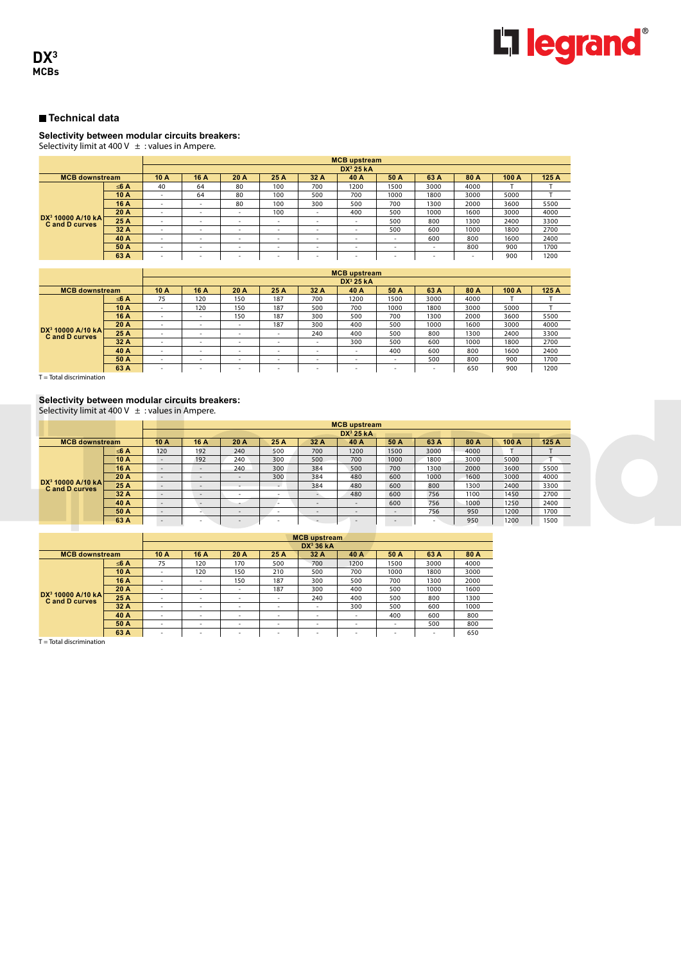

#### **Selectivity between modular circuits breakers:**

Selectivity limit at 400 V  $\pm$  : values in Ampere.

|                                                       |      | <b>MCB</b> upstream      |      |                          |                          |                          |                          |                          |                          |                          |       |       |  |
|-------------------------------------------------------|------|--------------------------|------|--------------------------|--------------------------|--------------------------|--------------------------|--------------------------|--------------------------|--------------------------|-------|-------|--|
|                                                       |      |                          |      |                          |                          |                          | DX <sup>3</sup> 25 kA    |                          |                          |                          |       |       |  |
| <b>MCB downstream</b>                                 |      | 10 A                     | 16 A | 20 A                     | 25 A                     | 32 A                     | 40 A                     | 50 A                     | 63 A                     | 80 A                     | 100 A | 125 A |  |
|                                                       | ≤6 A | 40                       | 64   | 80                       | 100                      | 700                      | 1200                     | 1500                     | 3000                     | 4000                     |       |       |  |
|                                                       | 10 A | $\overline{\phantom{0}}$ | 64   | 80                       | 100                      | 500                      | 700                      | 1000                     | 1800                     | 3000                     | 5000  |       |  |
|                                                       | 16 A |                          | ۰    | 80                       | 100                      | 300                      | 500                      | 700                      | 1300                     | 2000                     | 3600  | 5500  |  |
|                                                       | 20 A | ۰                        | ۰    | $\overline{\phantom{a}}$ | 100                      | $\sim$                   | 400                      | 500                      | 1000                     | 1600                     | 3000  | 4000  |  |
| DX <sup>3</sup> 10000 A/10 kA<br><b>Cand D curves</b> | 25 A | ۰                        | ۰    | $\overline{\phantom{a}}$ | $\overline{\phantom{a}}$ | $\overline{\phantom{0}}$ |                          | 500                      | 800                      | 1300                     | 2400  | 3300  |  |
|                                                       | 32 A | ۰.                       | ۰    | $\overline{\phantom{a}}$ | $\overline{\phantom{a}}$ | $\overline{\phantom{0}}$ |                          | 500                      | 600                      | 1000                     | 1800  | 2700  |  |
|                                                       | 40 A | $\overline{\phantom{0}}$ | -    | $\overline{\phantom{a}}$ | $\overline{\phantom{a}}$ | $\overline{\phantom{0}}$ | -                        | $\overline{\phantom{a}}$ | 600                      | 800                      | 1600  | 2400  |  |
|                                                       | 50 A | $\overline{\phantom{a}}$ | ٠    | $\overline{\phantom{a}}$ | $\overline{\phantom{a}}$ | $\overline{\phantom{0}}$ | -                        | $\overline{\phantom{a}}$ | $\overline{\phantom{a}}$ | 800                      | 900   | 1700  |  |
|                                                       | 63 A | ۰.                       | -    | ٠                        | $\overline{\phantom{a}}$ | $\overline{\phantom{0}}$ | $\overline{\phantom{a}}$ | $\overline{\phantom{a}}$ | $\overline{\phantom{a}}$ | $\overline{\phantom{a}}$ | 900   | 1200  |  |

|                                                       |      |                          | <b>MCB</b> upstream |                          |                          |                          |                          |                          |                          |      |       |       |  |  |
|-------------------------------------------------------|------|--------------------------|---------------------|--------------------------|--------------------------|--------------------------|--------------------------|--------------------------|--------------------------|------|-------|-------|--|--|
|                                                       |      |                          |                     |                          |                          |                          | $DX^3$ 25 kA             |                          |                          |      |       |       |  |  |
| <b>MCB</b> downstream                                 |      | 10 A                     | 16 A                | 20 A                     | 25 A                     | 32 A                     | 40 A                     | 50 A                     | 63 A                     | 80 A | 100 A | 125 A |  |  |
|                                                       | ≤6 A | 75                       | 120                 | 150                      | 187                      | 700                      | 1200                     | 1500                     | 3000                     | 4000 |       |       |  |  |
|                                                       | 10 A | -                        | 120                 | 150                      | 187                      | 500                      | 700                      | 1000                     | 1800                     | 3000 | 5000  |       |  |  |
|                                                       | 16 A | -                        | -                   | 150                      | 187                      | 300                      | 500                      | 700                      | 1300                     | 2000 | 3600  | 5500  |  |  |
|                                                       | 20 A | -                        | -                   | $\overline{\phantom{a}}$ | 187                      | 300                      | 400                      | 500                      | 1000                     | 1600 | 3000  | 4000  |  |  |
| DX <sup>3</sup> 10000 A/10 kA<br><b>Cand D curves</b> | 25 A |                          |                     | $\overline{\phantom{0}}$ |                          | 240                      | 400                      | 500                      | 800                      | 1300 | 2400  | 3300  |  |  |
|                                                       | 32 A | -                        | -                   | $\overline{\phantom{a}}$ | $\overline{\phantom{a}}$ | $\overline{\phantom{a}}$ | 300                      | 500                      | 600                      | 1000 | 1800  | 2700  |  |  |
|                                                       | 40 A |                          |                     | $\overline{\phantom{a}}$ |                          |                          |                          | 400                      | 600                      | 800  | 1600  | 2400  |  |  |
|                                                       | 50 A | $\overline{\phantom{a}}$ | -                   | $\overline{\phantom{a}}$ | -                        | $\overline{\phantom{a}}$ |                          | $\overline{\phantom{a}}$ | 500                      | 800  | 900   | 1700  |  |  |
|                                                       | 63 A | $\sim$                   | -                   | $\overline{\phantom{a}}$ | $\overline{\phantom{a}}$ | $\sim$                   | $\overline{\phantom{a}}$ | $\sim$                   | $\overline{\phantom{a}}$ | 650  | 900   | 1200  |  |  |

 $T =$  Total discrimination

# **Selectivity between modular circuits breakers:**

Selectivity limit at 400 V  $\pm$  : values in Ampere.

|                                                       |      |                          |                          | <b>MCB</b> upstream      |                          |      |                          |                          |        |      |       |      |  |
|-------------------------------------------------------|------|--------------------------|--------------------------|--------------------------|--------------------------|------|--------------------------|--------------------------|--------|------|-------|------|--|
|                                                       |      |                          |                          |                          |                          |      | DX <sup>3</sup> 25 kA    |                          |        |      |       |      |  |
| <b>MCB downstream</b>                                 |      | 10 A                     | 16 A                     | 20 A                     | 25 A                     | 32 A | 40 A                     | 50 A                     | 63 A   | 80 A | 100 A | 125A |  |
|                                                       | ≤6 A | 120                      | 192                      | 240                      | 500                      | 700  | 1200                     | 1500                     | 3000   | 4000 |       |      |  |
|                                                       | 10 A | $\overline{\phantom{a}}$ | 192                      | 240                      | 300                      | 500  | 700                      | 1000                     | 1800   | 3000 | 5000  |      |  |
|                                                       | 16 A | $\overline{\phantom{0}}$ | $\overline{\phantom{0}}$ | 240                      | 300                      | 384  | 500                      | 700                      | 1300   | 2000 | 3600  | 5500 |  |
|                                                       | 20 A | $\overline{\phantom{a}}$ | $\overline{\phantom{a}}$ | $\overline{\phantom{0}}$ | 300                      | 384  | 480                      | 600                      | 1000   | 1600 | 3000  | 4000 |  |
| DX <sup>3</sup> 10000 A/10 kA<br><b>Cand D curves</b> | 25 A | $\overline{\phantom{a}}$ | $\overline{\phantom{a}}$ |                          | $\sim$                   | 384  | 480                      | 600                      | 800    | 1300 | 2400  | 3300 |  |
|                                                       | 32 A | $\overline{\phantom{a}}$ | $\overline{\phantom{a}}$ |                          | $\sim$                   |      | 480                      | 600                      | 756    | 1100 | 1450  | 2700 |  |
|                                                       | 40 A | $\overline{\phantom{0}}$ | $\overline{\phantom{0}}$ |                          | -                        | -    | $\sim$                   | 600                      | 756    | 1000 | 1250  | 2400 |  |
|                                                       | 50 A | $\overline{\phantom{0}}$ |                          | $\overline{\phantom{a}}$ | $\overline{\phantom{a}}$ | -    | $\overline{\phantom{a}}$ | $\overline{\phantom{a}}$ | 756    | 950  | 1200  | 1700 |  |
|                                                       | 63 A | $\overline{\phantom{0}}$ |                          | $\overline{\phantom{a}}$ | $\sim$                   |      | $\overline{\phantom{a}}$ | $\overline{a}$           | $\sim$ | 950  | 1200  | 1500 |  |

|                                                       |      |                          |                          |      |                          | DX <sup>3</sup> 36 kA    |                          |                          |          |      |
|-------------------------------------------------------|------|--------------------------|--------------------------|------|--------------------------|--------------------------|--------------------------|--------------------------|----------|------|
| <b>MCB downstream</b>                                 |      | 10 A                     | 16 A                     | 20 A | 25 A                     | 32 A                     | 40 A                     | 50 A                     | 63 A     | 80 A |
|                                                       | ≤6 A | 75                       | 120                      | 170  | 500                      | 700                      | 1200                     | 1500                     | 3000     | 4000 |
|                                                       | 10 A | $\overline{\phantom{a}}$ | 120                      | 150  | 210                      | 500                      | 700                      | 1000                     | 1800     | 3000 |
|                                                       | 16 A | -                        | -                        | 150  | 187                      | 300                      | 500                      | 700                      | 1300     | 2000 |
|                                                       | 20 A | $\sim$                   | <b>.</b>                 | -    | 187                      | 300                      | 400                      | 500                      | 1000     | 1600 |
| DX <sup>3</sup> 10000 A/10 kA<br><b>Cand D curves</b> | 25 A | $\overline{\phantom{a}}$ | $\overline{\phantom{a}}$ | -    | ۰.                       | 240                      | 400                      | 500                      | 800      | 1300 |
|                                                       | 32 A | $\overline{\phantom{a}}$ | $\overline{\phantom{a}}$ | ۰    | $\overline{\phantom{a}}$ | $\overline{\phantom{a}}$ | 300                      | 500                      | 600      | 1000 |
|                                                       | 40 A | $\overline{\phantom{a}}$ | $\overline{\phantom{a}}$ | ۰    | $\overline{\phantom{a}}$ | $\overline{\phantom{a}}$ | $\overline{\phantom{a}}$ | 400                      | 600      | 800  |
|                                                       | 50 A | $\overline{\phantom{a}}$ | $\overline{\phantom{a}}$ | ۰    | $\overline{\phantom{a}}$ | $\overline{\phantom{a}}$ | ۰                        | $\overline{\phantom{a}}$ | 500      | 800  |
|                                                       | 63 A | -                        | -                        | -    | ۰.                       | <b>.</b>                 | $\sim$                   | <b>.</b>                 | <b>.</b> | 650  |

T = Total discrimination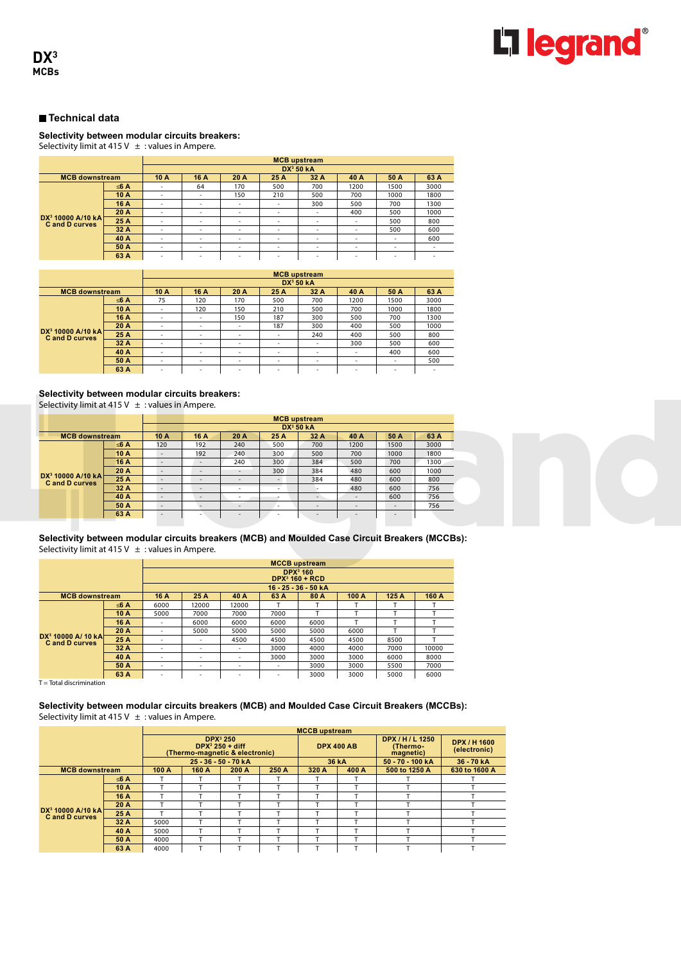

#### **Selectivity between modular circuits breakers:**

Selectivity limit at 415 V  $\pm$  : values in Ampere.

|                                              |      | <b>MCB</b> upstream      |                          |                          |                          |                          |                          |                          |                          |  |  |  |
|----------------------------------------------|------|--------------------------|--------------------------|--------------------------|--------------------------|--------------------------|--------------------------|--------------------------|--------------------------|--|--|--|
|                                              |      |                          |                          |                          |                          | DX <sup>3</sup> 50 kA    |                          |                          |                          |  |  |  |
| <b>MCB downstream</b>                        |      | 10A                      | 16 A                     | 20 A                     | 25 A                     | 32 A                     | 40 A                     | 50 A                     | 63 A                     |  |  |  |
|                                              | ≤6 A | $\overline{\phantom{a}}$ | 64                       | 170                      | 500                      | 700                      | 1200                     | 1500                     | 3000                     |  |  |  |
|                                              | 10 A | $\overline{\phantom{a}}$ | ۰                        | 150                      | 210                      | 500                      | 700                      | 1000                     | 1800                     |  |  |  |
|                                              | 16 A | $\overline{\phantom{a}}$ | ۰                        | $\overline{\phantom{a}}$ | $\overline{\phantom{a}}$ | 300                      | 500                      | 700                      | 1300                     |  |  |  |
|                                              | 20 A | $\overline{\phantom{a}}$ | ۰                        | $\overline{\phantom{a}}$ | $\overline{\phantom{a}}$ | $\overline{\phantom{a}}$ | 400                      | 500                      | 1000                     |  |  |  |
| $DX^3$ 10000 A/10 kA<br><b>Cand D curves</b> | 25 A | $\overline{\phantom{a}}$ | $\overline{\phantom{a}}$ | $\overline{\phantom{a}}$ | $\overline{\phantom{a}}$ | $\overline{\phantom{a}}$ | $\overline{\phantom{a}}$ | 500                      | 800                      |  |  |  |
|                                              | 32 A | $\overline{\phantom{a}}$ | ٠                        | $\overline{\phantom{a}}$ | $\overline{\phantom{a}}$ | $\overline{\phantom{a}}$ | $\overline{\phantom{a}}$ | 500                      | 600                      |  |  |  |
|                                              | 40 A | $\overline{\phantom{a}}$ | ٠                        | $\overline{\phantom{a}}$ | $\overline{\phantom{a}}$ | ۰                        | ٠                        | $\overline{\phantom{a}}$ | 600                      |  |  |  |
|                                              | 50 A | $\overline{\phantom{a}}$ | ۰                        | $\overline{\phantom{a}}$ | $\overline{\phantom{a}}$ | ۰                        | ۰                        | $\overline{\phantom{a}}$ | $\overline{\phantom{a}}$ |  |  |  |
|                                              | 63 A | ۰                        | ۰                        | $\overline{\phantom{a}}$ | $\overline{\phantom{a}}$ | ۰                        | ۰                        | $\overline{\phantom{a}}$ | -                        |  |  |  |

|                                                       |                       | <b>MCB</b> upstream      |                          |      |                          |                          |                          |                          |      |  |  |
|-------------------------------------------------------|-----------------------|--------------------------|--------------------------|------|--------------------------|--------------------------|--------------------------|--------------------------|------|--|--|
|                                                       | DX <sup>3</sup> 50 kA |                          |                          |      |                          |                          |                          |                          |      |  |  |
| <b>MCB downstream</b>                                 |                       | 10A                      | 16 A                     | 20 A | 25 A                     | 32 A                     | 40 A                     | 50 A                     | 63 A |  |  |
|                                                       | ≤6 A                  | 75                       | 120                      | 170  | 500                      | 700                      | 1200                     | 1500                     | 3000 |  |  |
|                                                       | 10 A                  | $\overline{\phantom{a}}$ | 120                      | 150  | 210                      | 500                      | 700                      | 1000                     | 1800 |  |  |
|                                                       | 16 A                  | $\overline{\phantom{a}}$ | $\overline{\phantom{a}}$ | 150  | 187                      | 300                      | 500                      | 700                      | 1300 |  |  |
|                                                       | 20 A                  | $\overline{\phantom{a}}$ | $\overline{\phantom{a}}$ | ۰    | 187                      | 300                      | 400                      | 500                      | 1000 |  |  |
| DX <sup>3</sup> 10000 A/10 kA<br><b>Cand D curves</b> | 25 A                  | $\overline{\phantom{a}}$ | $\overline{\phantom{a}}$ | ۰    | $\overline{\phantom{a}}$ | 240                      | 400                      | 500                      | 800  |  |  |
|                                                       | 32 A                  | $\overline{\phantom{a}}$ | $\overline{\phantom{a}}$ | ۰    | $\overline{\phantom{a}}$ | $\overline{\phantom{a}}$ | 300                      | 500                      | 600  |  |  |
|                                                       | 40 A                  | $\overline{\phantom{a}}$ | $\overline{\phantom{a}}$ | ۰    | $\overline{\phantom{a}}$ | $\overline{\phantom{a}}$ | $\overline{\phantom{a}}$ | 400                      | 600  |  |  |
|                                                       | 50 A                  | $\overline{\phantom{a}}$ | $\overline{\phantom{a}}$ | ۰    | $\overline{\phantom{a}}$ | $\overline{\phantom{a}}$ | ۰                        | $\overline{\phantom{a}}$ | 500  |  |  |
|                                                       | 63 A                  | $\overline{\phantom{a}}$ | $\overline{\phantom{a}}$ | ۰    | $\overline{\phantom{a}}$ | $\overline{\phantom{a}}$ | ۰                        | -                        |      |  |  |

### **Selectivity between modular circuits breakers:**

Selectivity limit at 415 V  $\pm$  : values in Ampere.

|                                                       |      |                          | <b>MCB</b> upstream      |                          |                          |                          |                          |                          |      |  |  |
|-------------------------------------------------------|------|--------------------------|--------------------------|--------------------------|--------------------------|--------------------------|--------------------------|--------------------------|------|--|--|
|                                                       |      |                          | DX <sup>3</sup> 50 kA    |                          |                          |                          |                          |                          |      |  |  |
| <b>MCB</b> downstream                                 |      | 10A                      | 16 A                     | 20 A                     | 25 A                     | 32A                      | 40 A                     | 50 A                     | 63 A |  |  |
|                                                       | ≤6 A | 120                      | 192                      | 240                      | 500                      | 700                      | 1200                     | 1500                     | 3000 |  |  |
|                                                       | 10 A | $\overline{\phantom{a}}$ | 192                      | 240                      | 300                      | 500                      | 700                      | 1000                     | 1800 |  |  |
| DX <sup>3</sup> 10000 A/10 kA<br><b>Cand D curves</b> | 16 A | $\overline{\phantom{m}}$ | $\overline{\phantom{a}}$ | 240                      | 300                      | 384                      | 500                      | 700                      | 1300 |  |  |
|                                                       | 20A  | $\overline{\phantom{m}}$ | $\sim$                   | $\overline{\phantom{a}}$ | 300                      | 384                      | 480                      | 600                      | 1000 |  |  |
|                                                       | 25 A | $\overline{\phantom{a}}$ | -                        | $\overline{\phantom{a}}$ |                          | 384                      | 480                      | 600                      | 800  |  |  |
|                                                       | 32 A | $\overline{\phantom{a}}$ | -                        | $\overline{\phantom{a}}$ |                          |                          | 480                      | 600                      | 756  |  |  |
|                                                       | 40 A | $\overline{\phantom{a}}$ | $\overline{\phantom{a}}$ | $\overline{\phantom{a}}$ |                          | -                        | -                        | 600                      | 756  |  |  |
|                                                       | 50 A | $\overline{\phantom{a}}$ |                          | $\overline{\phantom{a}}$ | $\overline{\phantom{a}}$ | $\overline{\phantom{a}}$ | $\overline{\phantom{a}}$ | $\overline{\phantom{a}}$ | 756  |  |  |
|                                                       | 63 A | $\overline{\phantom{a}}$ | -                        | $\overline{\phantom{a}}$ | -                        | $\overline{\phantom{a}}$ | $\overline{\phantom{0}}$ | $\overline{\phantom{a}}$ |      |  |  |



**Selectivity between modular circuits breakers (MCB) and Moulded Case Circuit Breakers (MCCBs):** Selectivity limit at 415 V  $\pm$  : values in Ampere.

|                                              |                                                 | <b>MCCB</b> upstream     |       |                          |                          |                      |       |       |       |  |  |
|----------------------------------------------|-------------------------------------------------|--------------------------|-------|--------------------------|--------------------------|----------------------|-------|-------|-------|--|--|
|                                              | <b>DPX</b> <sup>3</sup> 160<br>$DPX3$ 160 + RCD |                          |       |                          |                          |                      |       |       |       |  |  |
|                                              |                                                 |                          |       |                          |                          | 16 - 25 - 36 - 50 kA |       |       |       |  |  |
| <b>MCB downstream</b>                        |                                                 | 16 A                     | 25 A  | 40 A                     | 63 A                     | 80 A                 | 100 A | 125 A | 160 A |  |  |
|                                              | ≤6 A                                            | 6000                     | 12000 | 12000                    |                          |                      |       |       |       |  |  |
|                                              | 10A                                             | 5000                     | 7000  | 7000                     | 7000                     |                      |       |       |       |  |  |
|                                              | 16 A                                            | $\overline{\phantom{a}}$ | 6000  | 6000                     | 6000                     | 6000                 |       |       |       |  |  |
|                                              | 20 A                                            | $\overline{\phantom{a}}$ | 5000  | 5000                     | 5000                     | 5000                 | 6000  |       |       |  |  |
| $DX^3$ 10000 A/10 kA<br><b>Cand D curves</b> | 25 A                                            | ۰                        | ٠     | 4500                     | 4500                     | 4500                 | 4500  | 8500  |       |  |  |
|                                              | 32 A                                            | ۰                        | ۰     | $\overline{\phantom{a}}$ | 3000                     | 4000                 | 4000  | 7000  | 10000 |  |  |
|                                              | 40 A                                            | ۰                        | ۰     | $\overline{\phantom{a}}$ | 3000                     | 3000                 | 3000  | 6000  | 8000  |  |  |
|                                              | 50 A                                            | ۰                        | ٠     | $\overline{\phantom{a}}$ | $\overline{\phantom{a}}$ | 3000                 | 3000  | 5500  | 7000  |  |  |
|                                              | 63 A                                            | ۰                        | ۰     | $\overline{\phantom{a}}$ | $\overline{\phantom{a}}$ | 3000                 | 3000  | 5000  | 6000  |  |  |

 $T = Total$  discrimination

**Selectivity between modular circuits breakers (MCB) and Moulded Case Circuit Breakers (MCCBs):** Selectivity limit at 415 V  $\pm$  : values in Ampere.

|                                                       |                      | <b>MCCB</b> upstream           |                                           |       |                   |       |                                      |                              |               |  |  |  |
|-------------------------------------------------------|----------------------|--------------------------------|-------------------------------------------|-------|-------------------|-------|--------------------------------------|------------------------------|---------------|--|--|--|
|                                                       |                      | (Thermo-magnetic & electronic) | DPX <sup>3</sup> 250<br>$DPX3 250 + diff$ |       | <b>DPX 400 AB</b> |       | DPX/H/L1250<br>(Thermo-<br>magnetic) | DPX / H 1600<br>(electronic) |               |  |  |  |
|                                                       | 25 - 36 - 50 - 70 kA |                                |                                           |       | 36 kA             |       | 50 70 100 kA                         | 36 70 kA                     |               |  |  |  |
| <b>MCB</b> downstream                                 |                      | 100 A                          | 160 A                                     | 200 A | 250 A             | 320 A | 400 A                                | 500 to 1250 A                | 630 to 1600 A |  |  |  |
|                                                       | ≤6 A                 |                                |                                           |       |                   |       |                                      |                              |               |  |  |  |
|                                                       | 10 A                 |                                |                                           |       |                   |       |                                      |                              |               |  |  |  |
|                                                       | 16 A                 |                                |                                           |       |                   |       |                                      |                              |               |  |  |  |
|                                                       | 20 A                 |                                |                                           |       | $\mathbf \tau$    |       |                                      |                              |               |  |  |  |
| DX <sup>3</sup> 10000 A/10 kA<br><b>Cand D curves</b> | 25 A                 |                                |                                           |       |                   |       |                                      |                              |               |  |  |  |
|                                                       | 32A                  | 5000                           |                                           |       | T                 |       |                                      |                              |               |  |  |  |
|                                                       | 40 A                 | 5000                           |                                           |       |                   |       |                                      |                              |               |  |  |  |
|                                                       | 50 A                 | 4000                           |                                           |       |                   |       |                                      |                              |               |  |  |  |
|                                                       | 63 A                 | 4000                           |                                           |       | T                 |       |                                      |                              |               |  |  |  |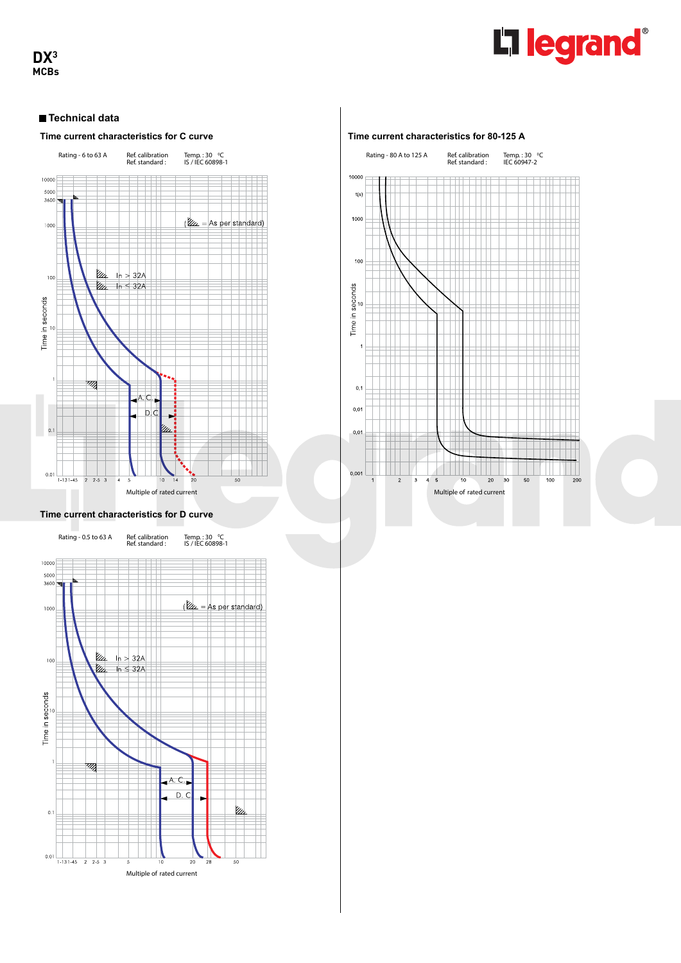